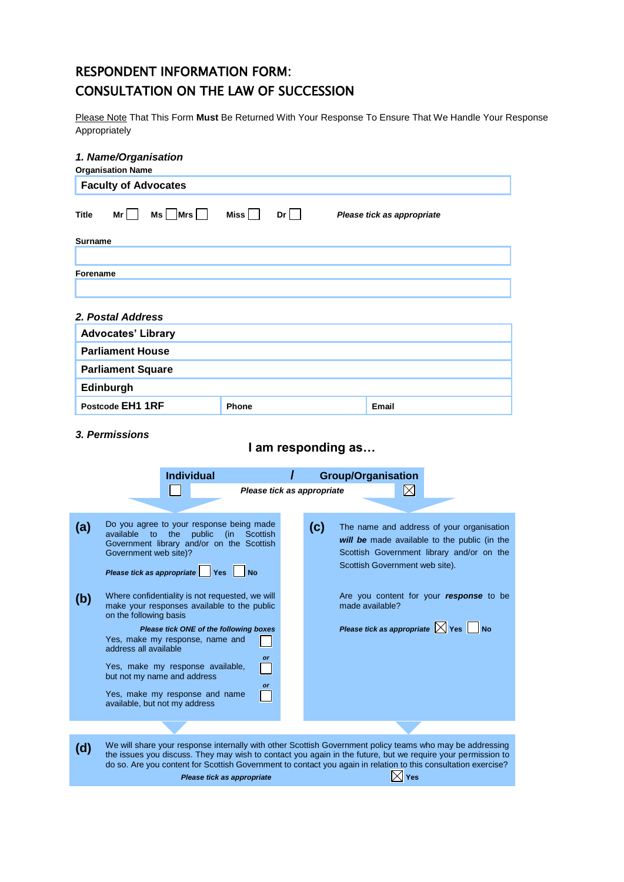# RESPONDENT INFORMATION FORM: CONSULTATION ON THE LAW OF SUCCESSION

Please Note That This Form **Must** Be Returned With Your Response To Ensure That We Handle Your Response Appropriately

| 1. Name/Organisation               |                  |                            |
|------------------------------------|------------------|----------------------------|
| <b>Organisation Name</b>           |                  |                            |
| <b>Faculty of Advocates</b>        |                  |                            |
| $Ms$ $Mrs$<br>Mr l<br><b>Title</b> | $Dr$    <br>Miss | Please tick as appropriate |
| <b>Surname</b>                     |                  |                            |
|                                    |                  |                            |
| Forename                           |                  |                            |
|                                    |                  |                            |
| 2. Postal Address                  |                  |                            |
|                                    |                  |                            |
| <b>Advocates' Library</b>          |                  |                            |
| <b>Parliament House</b>            |                  |                            |
| <b>Parliament Square</b>           |                  |                            |
| <b>Edinburgh</b>                   |                  |                            |
| Postcode EH1 1RF                   | <b>Phone</b>     | Email                      |
|                                    |                  |                            |

#### *3. Permissions*

# **I am responding as…**

|     | <b>Individual</b><br>Please tick as appropriate                                                                                                                                                                                                                                                                                                                                                |     | <b>Group/Organisation</b><br>$\boxtimes$                                                                                                                                 |
|-----|------------------------------------------------------------------------------------------------------------------------------------------------------------------------------------------------------------------------------------------------------------------------------------------------------------------------------------------------------------------------------------------------|-----|--------------------------------------------------------------------------------------------------------------------------------------------------------------------------|
| (a) | Do you agree to your response being made<br>available to the<br>public<br>(in<br>Scottish<br>Government library and/or on the Scottish<br>Government web site)?<br>Please tick as appropriate   Yes<br>No.                                                                                                                                                                                     | (c) | The name and address of your organisation<br>will be made available to the public (in the<br>Scottish Government library and/or on the<br>Scottish Government web site). |
| (b) | Where confidentiality is not requested, we will<br>make your responses available to the public<br>on the following basis<br>Please tick ONE of the following boxes<br>Yes, make my response, name and<br>address all available<br><b>or</b><br>Yes, make my response available,<br>but not my name and address<br><b>or</b><br>Yes, make my response and name<br>available, but not my address |     | Are you content for your response to be<br>made available?<br>Please tick as appropriate $\times$ Yes No                                                                 |
|     |                                                                                                                                                                                                                                                                                                                                                                                                |     |                                                                                                                                                                          |
| (d) | We will share your response internally with other Scottish Government policy teams who may be addressing<br>the issues you discuss. They may wish to contact you again in the future, but we require your permission to<br>do so. Are you content for Scottish Government to contact you again in relation to this consultation exercise?                                                      |     |                                                                                                                                                                          |
|     | Please tick as appropriate                                                                                                                                                                                                                                                                                                                                                                     |     | Yes                                                                                                                                                                      |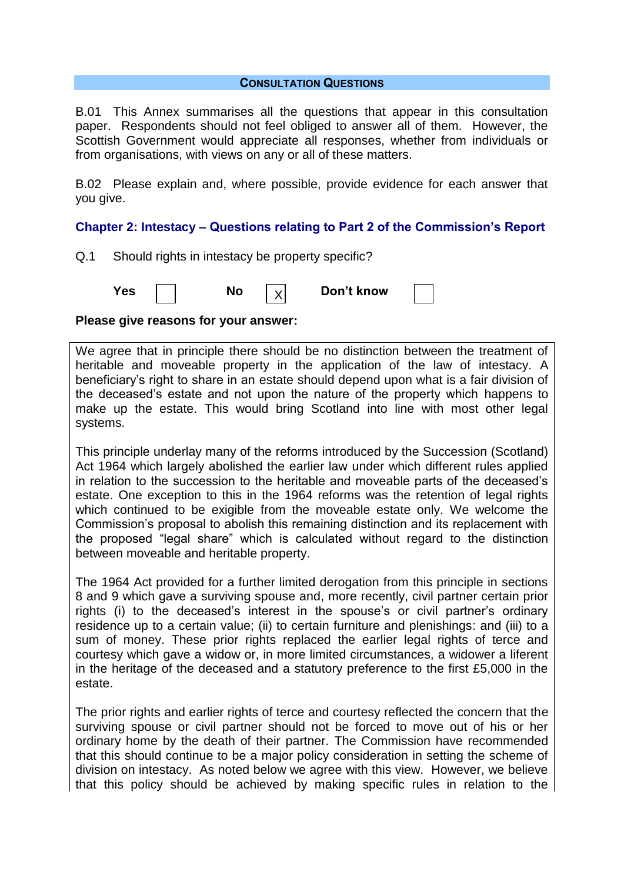#### **CONSULTATION QUESTIONS**

B.01 This Annex summarises all the questions that appear in this consultation paper. Respondents should not feel obliged to answer all of them. However, the Scottish Government would appreciate all responses, whether from individuals or from organisations, with views on any or all of these matters.

B.02 Please explain and, where possible, provide evidence for each answer that you give.

# **Chapter 2: Intestacy – Questions relating to Part 2 of the Commission's Report**

Q.1 Should rights in intestacy be property specific?

**Yes** | | **No**  $|y|$  **Don't know** X

### **Please give reasons for your answer:**

We agree that in principle there should be no distinction between the treatment of heritable and moveable property in the application of the law of intestacy. A beneficiary"s right to share in an estate should depend upon what is a fair division of the deceased"s estate and not upon the nature of the property which happens to make up the estate. This would bring Scotland into line with most other legal systems.

This principle underlay many of the reforms introduced by the Succession (Scotland) Act 1964 which largely abolished the earlier law under which different rules applied in relation to the succession to the heritable and moveable parts of the deceased"s estate. One exception to this in the 1964 reforms was the retention of legal rights which continued to be exigible from the moveable estate only. We welcome the Commission"s proposal to abolish this remaining distinction and its replacement with the proposed "legal share" which is calculated without regard to the distinction between moveable and heritable property.

The 1964 Act provided for a further limited derogation from this principle in sections 8 and 9 which gave a surviving spouse and, more recently, civil partner certain prior rights (i) to the deceased's interest in the spouse's or civil partner's ordinary residence up to a certain value; (ii) to certain furniture and plenishings: and (iii) to a sum of money. These prior rights replaced the earlier legal rights of terce and courtesy which gave a widow or, in more limited circumstances, a widower a liferent in the heritage of the deceased and a statutory preference to the first £5,000 in the estate.

The prior rights and earlier rights of terce and courtesy reflected the concern that the surviving spouse or civil partner should not be forced to move out of his or her ordinary home by the death of their partner. The Commission have recommended that this should continue to be a major policy consideration in setting the scheme of division on intestacy. As noted below we agree with this view. However, we believe that this policy should be achieved by making specific rules in relation to the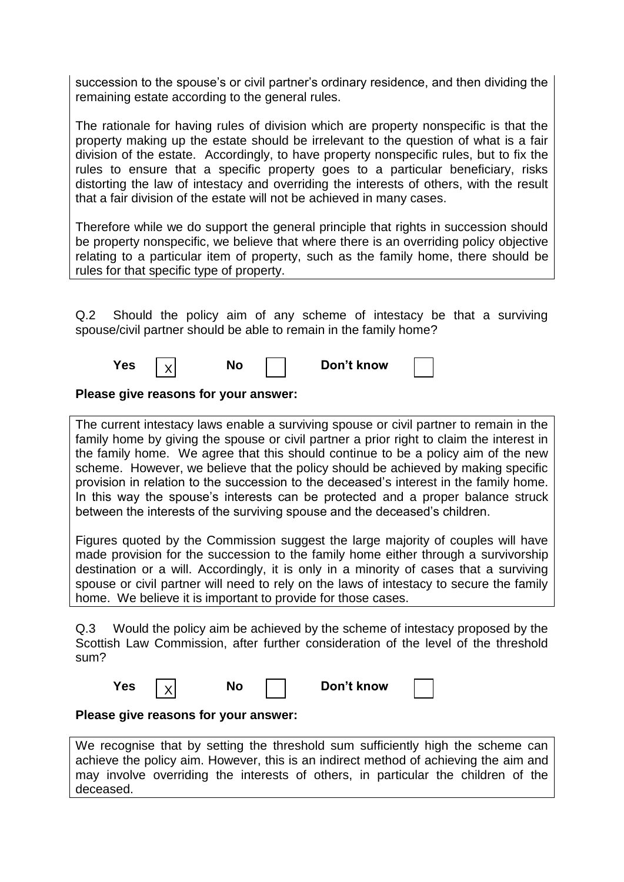succession to the spouse's or civil partner's ordinary residence, and then dividing the remaining estate according to the general rules.

The rationale for having rules of division which are property nonspecific is that the property making up the estate should be irrelevant to the question of what is a fair division of the estate. Accordingly, to have property nonspecific rules, but to fix the rules to ensure that a specific property goes to a particular beneficiary, risks distorting the law of intestacy and overriding the interests of others, with the result that a fair division of the estate will not be achieved in many cases.

Therefore while we do support the general principle that rights in succession should be property nonspecific, we believe that where there is an overriding policy objective relating to a particular item of property, such as the family home, there should be rules for that specific type of property.

Q.2 Should the policy aim of any scheme of intestacy be that a surviving spouse/civil partner should be able to remain in the family home?

| <b>Yes</b> |  | Don't know |  |
|------------|--|------------|--|
|------------|--|------------|--|

**Please give reasons for your answer:**

The current intestacy laws enable a surviving spouse or civil partner to remain in the family home by giving the spouse or civil partner a prior right to claim the interest in the family home. We agree that this should continue to be a policy aim of the new scheme. However, we believe that the policy should be achieved by making specific provision in relation to the succession to the deceased"s interest in the family home. In this way the spouse's interests can be protected and a proper balance struck between the interests of the surviving spouse and the deceased"s children.

Figures quoted by the Commission suggest the large majority of couples will have made provision for the succession to the family home either through a survivorship destination or a will. Accordingly, it is only in a minority of cases that a surviving spouse or civil partner will need to rely on the laws of intestacy to secure the family home. We believe it is important to provide for those cases.

Q.3 Would the policy aim be achieved by the scheme of intestacy proposed by the Scottish Law Commission, after further consideration of the level of the threshold sum?

| Yes |  |  |  | Don't know |
|-----|--|--|--|------------|
|-----|--|--|--|------------|

# **Please give reasons for your answer:**

We recognise that by setting the threshold sum sufficiently high the scheme can achieve the policy aim. However, this is an indirect method of achieving the aim and may involve overriding the interests of others, in particular the children of the deceased.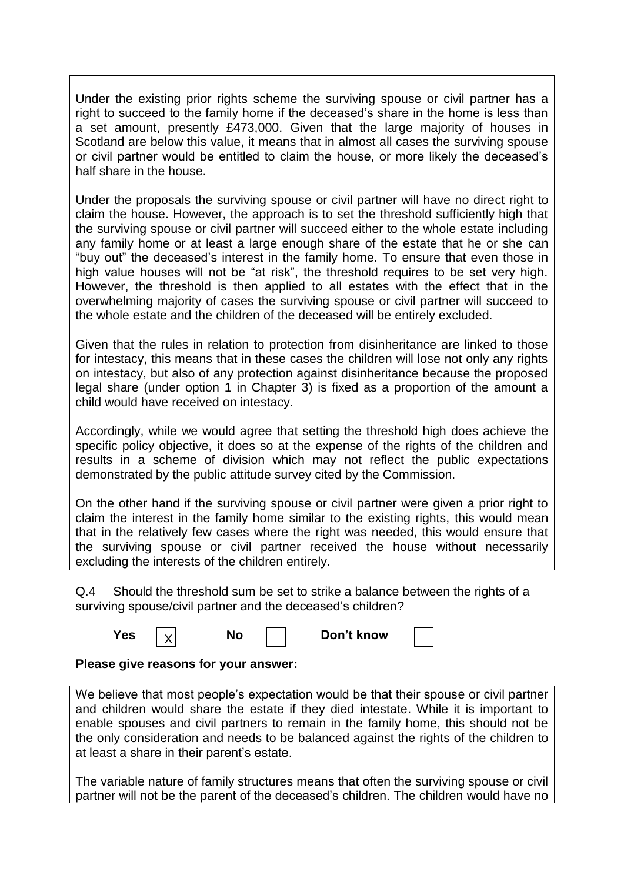Under the existing prior rights scheme the surviving spouse or civil partner has a right to succeed to the family home if the deceased"s share in the home is less than a set amount, presently £473,000. Given that the large majority of houses in Scotland are below this value, it means that in almost all cases the surviving spouse or civil partner would be entitled to claim the house, or more likely the deceased"s half share in the house.

Under the proposals the surviving spouse or civil partner will have no direct right to claim the house. However, the approach is to set the threshold sufficiently high that the surviving spouse or civil partner will succeed either to the whole estate including any family home or at least a large enough share of the estate that he or she can "buy out" the deceased"s interest in the family home. To ensure that even those in high value houses will not be "at risk", the threshold requires to be set very high. However, the threshold is then applied to all estates with the effect that in the overwhelming majority of cases the surviving spouse or civil partner will succeed to the whole estate and the children of the deceased will be entirely excluded.

Given that the rules in relation to protection from disinheritance are linked to those for intestacy, this means that in these cases the children will lose not only any rights on intestacy, but also of any protection against disinheritance because the proposed legal share (under option 1 in Chapter 3) is fixed as a proportion of the amount a child would have received on intestacy.

Accordingly, while we would agree that setting the threshold high does achieve the specific policy objective, it does so at the expense of the rights of the children and results in a scheme of division which may not reflect the public expectations demonstrated by the public attitude survey cited by the Commission.

On the other hand if the surviving spouse or civil partner were given a prior right to claim the interest in the family home similar to the existing rights, this would mean that in the relatively few cases where the right was needed, this would ensure that the surviving spouse or civil partner received the house without necessarily excluding the interests of the children entirely.

Q.4 Should the threshold sum be set to strike a balance between the rights of a surviving spouse/civil partner and the deceased's children?

| 'es |  | N | Don't know |  |
|-----|--|---|------------|--|
|-----|--|---|------------|--|

# **Please give reasons for your answer:**

We believe that most people's expectation would be that their spouse or civil partner and children would share the estate if they died intestate. While it is important to enable spouses and civil partners to remain in the family home, this should not be the only consideration and needs to be balanced against the rights of the children to at least a share in their parent"s estate.

The variable nature of family structures means that often the surviving spouse or civil partner will not be the parent of the deceased"s children. The children would have no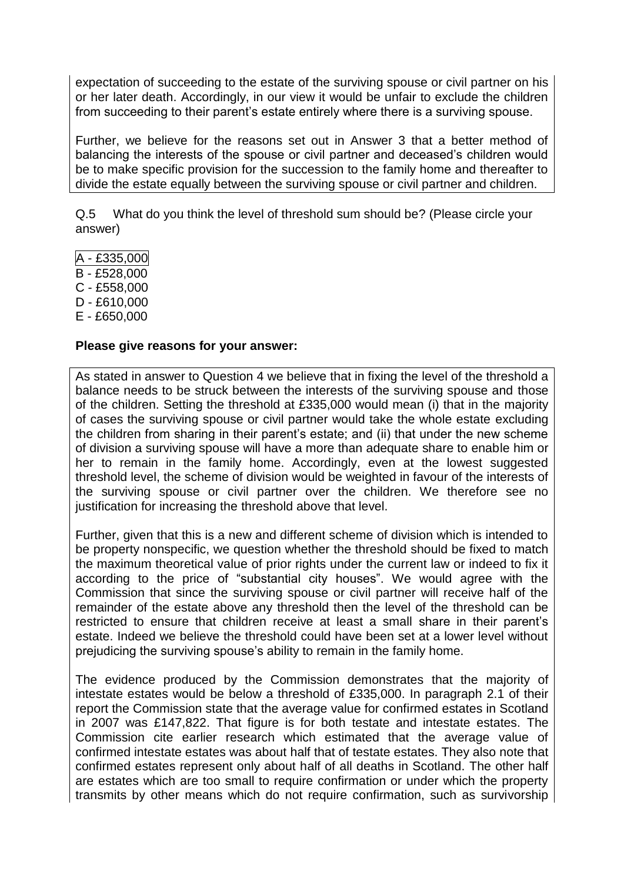expectation of succeeding to the estate of the surviving spouse or civil partner on his or her later death. Accordingly, in our view it would be unfair to exclude the children from succeeding to their parent"s estate entirely where there is a surviving spouse.

Further, we believe for the reasons set out in Answer 3 that a better method of balancing the interests of the spouse or civil partner and deceased"s children would be to make specific provision for the succession to the family home and thereafter to divide the estate equally between the surviving spouse or civil partner and children.

Q.5 What do you think the level of threshold sum should be? (Please circle your answer)

- A £335,000
- B £528,000
- C £558,000
- D £610,000
- E £650,000

# **Please give reasons for your answer:**

As stated in answer to Question 4 we believe that in fixing the level of the threshold a balance needs to be struck between the interests of the surviving spouse and those of the children. Setting the threshold at £335,000 would mean (i) that in the majority of cases the surviving spouse or civil partner would take the whole estate excluding the children from sharing in their parent"s estate; and (ii) that under the new scheme of division a surviving spouse will have a more than adequate share to enable him or her to remain in the family home. Accordingly, even at the lowest suggested threshold level, the scheme of division would be weighted in favour of the interests of the surviving spouse or civil partner over the children. We therefore see no justification for increasing the threshold above that level.

Further, given that this is a new and different scheme of division which is intended to be property nonspecific, we question whether the threshold should be fixed to match the maximum theoretical value of prior rights under the current law or indeed to fix it according to the price of "substantial city houses". We would agree with the Commission that since the surviving spouse or civil partner will receive half of the remainder of the estate above any threshold then the level of the threshold can be restricted to ensure that children receive at least a small share in their parent"s estate. Indeed we believe the threshold could have been set at a lower level without prejudicing the surviving spouse"s ability to remain in the family home.

The evidence produced by the Commission demonstrates that the majority of intestate estates would be below a threshold of £335,000. In paragraph 2.1 of their report the Commission state that the average value for confirmed estates in Scotland in 2007 was £147,822. That figure is for both testate and intestate estates. The Commission cite earlier research which estimated that the average value of confirmed intestate estates was about half that of testate estates. They also note that confirmed estates represent only about half of all deaths in Scotland. The other half are estates which are too small to require confirmation or under which the property transmits by other means which do not require confirmation, such as survivorship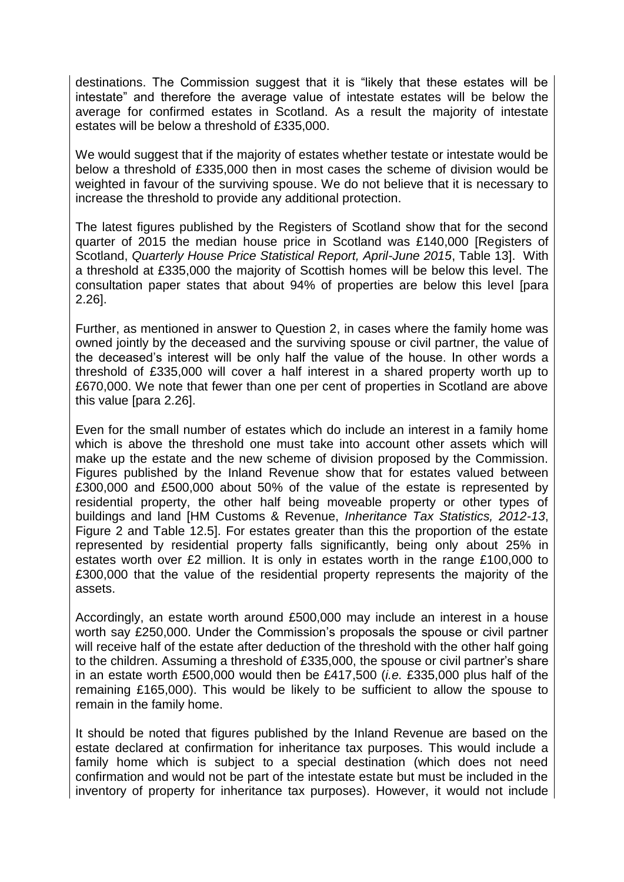destinations. The Commission suggest that it is "likely that these estates will be intestate" and therefore the average value of intestate estates will be below the average for confirmed estates in Scotland. As a result the majority of intestate estates will be below a threshold of £335,000.

We would suggest that if the majority of estates whether testate or intestate would be below a threshold of £335,000 then in most cases the scheme of division would be weighted in favour of the surviving spouse. We do not believe that it is necessary to increase the threshold to provide any additional protection.

The latest figures published by the Registers of Scotland show that for the second quarter of 2015 the median house price in Scotland was £140,000 [Registers of Scotland, *Quarterly House Price Statistical Report, April-June 2015*, Table 13]. With a threshold at £335,000 the majority of Scottish homes will be below this level. The consultation paper states that about 94% of properties are below this level [para 2.26].

Further, as mentioned in answer to Question 2, in cases where the family home was owned jointly by the deceased and the surviving spouse or civil partner, the value of the deceased"s interest will be only half the value of the house. In other words a threshold of £335,000 will cover a half interest in a shared property worth up to £670,000. We note that fewer than one per cent of properties in Scotland are above this value [para 2.26].

Even for the small number of estates which do include an interest in a family home which is above the threshold one must take into account other assets which will make up the estate and the new scheme of division proposed by the Commission. Figures published by the Inland Revenue show that for estates valued between £300,000 and £500,000 about 50% of the value of the estate is represented by residential property, the other half being moveable property or other types of buildings and land [HM Customs & Revenue, *Inheritance Tax Statistics, 2012-13*, Figure 2 and Table 12.5]. For estates greater than this the proportion of the estate represented by residential property falls significantly, being only about 25% in estates worth over £2 million. It is only in estates worth in the range £100,000 to £300,000 that the value of the residential property represents the majority of the assets.

Accordingly, an estate worth around £500,000 may include an interest in a house worth say £250,000. Under the Commission"s proposals the spouse or civil partner will receive half of the estate after deduction of the threshold with the other half going to the children. Assuming a threshold of £335,000, the spouse or civil partner"s share in an estate worth £500,000 would then be £417,500 (*i.e.* £335,000 plus half of the remaining £165,000). This would be likely to be sufficient to allow the spouse to remain in the family home.

It should be noted that figures published by the Inland Revenue are based on the estate declared at confirmation for inheritance tax purposes. This would include a family home which is subject to a special destination (which does not need confirmation and would not be part of the intestate estate but must be included in the inventory of property for inheritance tax purposes). However, it would not include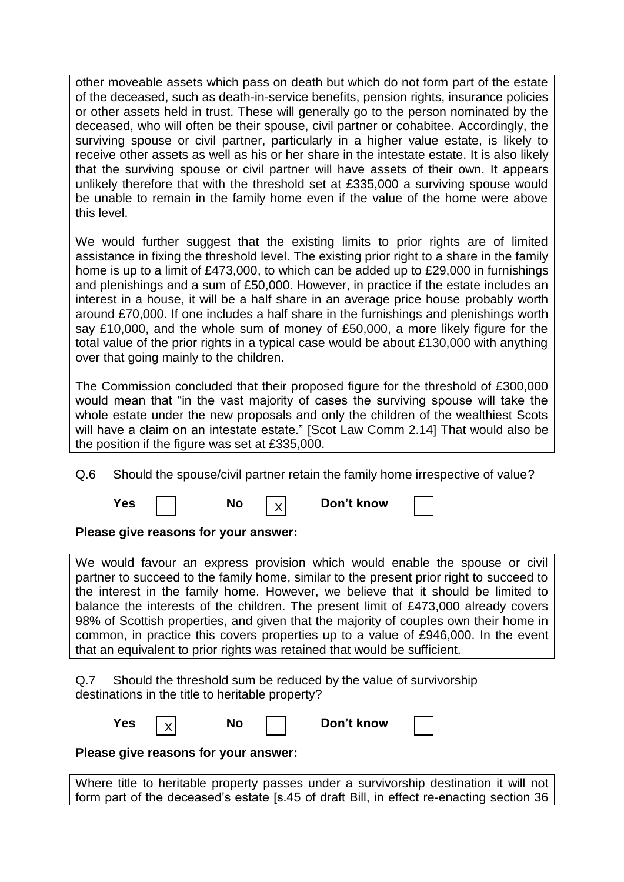other moveable assets which pass on death but which do not form part of the estate of the deceased, such as death-in-service benefits, pension rights, insurance policies or other assets held in trust. These will generally go to the person nominated by the deceased, who will often be their spouse, civil partner or cohabitee. Accordingly, the surviving spouse or civil partner, particularly in a higher value estate, is likely to receive other assets as well as his or her share in the intestate estate. It is also likely that the surviving spouse or civil partner will have assets of their own. It appears unlikely therefore that with the threshold set at £335,000 a surviving spouse would be unable to remain in the family home even if the value of the home were above this level.

We would further suggest that the existing limits to prior rights are of limited assistance in fixing the threshold level. The existing prior right to a share in the family home is up to a limit of £473,000, to which can be added up to £29,000 in furnishings and plenishings and a sum of £50,000. However, in practice if the estate includes an interest in a house, it will be a half share in an average price house probably worth around £70,000. If one includes a half share in the furnishings and plenishings worth say £10,000, and the whole sum of money of £50,000, a more likely figure for the total value of the prior rights in a typical case would be about £130,000 with anything over that going mainly to the children.

The Commission concluded that their proposed figure for the threshold of £300,000 would mean that "in the vast majority of cases the surviving spouse will take the whole estate under the new proposals and only the children of the wealthiest Scots will have a claim on an intestate estate." [Scot Law Comm 2.14] That would also be the position if the figure was set at £335,000.

Q.6 Should the spouse/civil partner retain the family home irrespective of value?

X

**Yes**  $\vert \vert$  **No**  $\vert \vert$  **Don't know** 

# **Please give reasons for your answer:**

We would favour an express provision which would enable the spouse or civil partner to succeed to the family home, similar to the present prior right to succeed to the interest in the family home. However, we believe that it should be limited to balance the interests of the children. The present limit of £473,000 already covers 98% of Scottish properties, and given that the majority of couples own their home in common, in practice this covers properties up to a value of £946,000. In the event that an equivalent to prior rights was retained that would be sufficient.

Q.7 Should the threshold sum be reduced by the value of survivorship destinations in the title to heritable property?

X

**No | | Don't know** 

# **Please give reasons for your answer:**

Where title to heritable property passes under a survivorship destination it will not form part of the deceased's estate [s.45 of draft Bill, in effect re-enacting section 36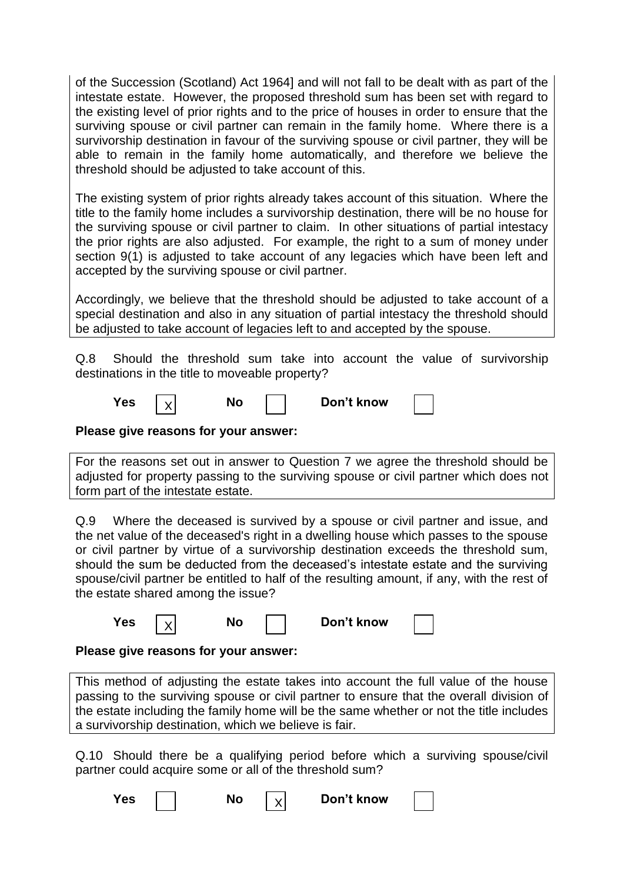of the Succession (Scotland) Act 1964] and will not fall to be dealt with as part of the intestate estate. However, the proposed threshold sum has been set with regard to the existing level of prior rights and to the price of houses in order to ensure that the surviving spouse or civil partner can remain in the family home. Where there is a survivorship destination in favour of the surviving spouse or civil partner, they will be able to remain in the family home automatically, and therefore we believe the threshold should be adjusted to take account of this.

The existing system of prior rights already takes account of this situation. Where the title to the family home includes a survivorship destination, there will be no house for the surviving spouse or civil partner to claim. In other situations of partial intestacy the prior rights are also adjusted. For example, the right to a sum of money under section 9(1) is adjusted to take account of any legacies which have been left and accepted by the surviving spouse or civil partner.

Accordingly, we believe that the threshold should be adjusted to take account of a special destination and also in any situation of partial intestacy the threshold should be adjusted to take account of legacies left to and accepted by the spouse.

Q.8 Should the threshold sum take into account the value of survivorship destinations in the title to moveable property?

| Yes. |  | No |  | Don't know |  |
|------|--|----|--|------------|--|
|------|--|----|--|------------|--|

# **Please give reasons for your answer:**

For the reasons set out in answer to Question 7 we agree the threshold should be adjusted for property passing to the surviving spouse or civil partner which does not form part of the intestate estate.

Q.9 Where the deceased is survived by a spouse or civil partner and issue, and the net value of the deceased's right in a dwelling house which passes to the spouse or civil partner by virtue of a survivorship destination exceeds the threshold sum, should the sum be deducted from the deceased"s intestate estate and the surviving spouse/civil partner be entitled to half of the resulting amount, if any, with the rest of the estate shared among the issue?

| Don't know<br>Yes<br>No |  |
|-------------------------|--|
|-------------------------|--|

# **Please give reasons for your answer:**

This method of adjusting the estate takes into account the full value of the house passing to the surviving spouse or civil partner to ensure that the overall division of the estate including the family home will be the same whether or not the title includes a survivorship destination, which we believe is fair.

Q.10 Should there be a qualifying period before which a surviving spouse/civil partner could acquire some or all of the threshold sum?

X

**Yes**  $\vert \vert$  **No**  $\vert \vert$  **Don't know**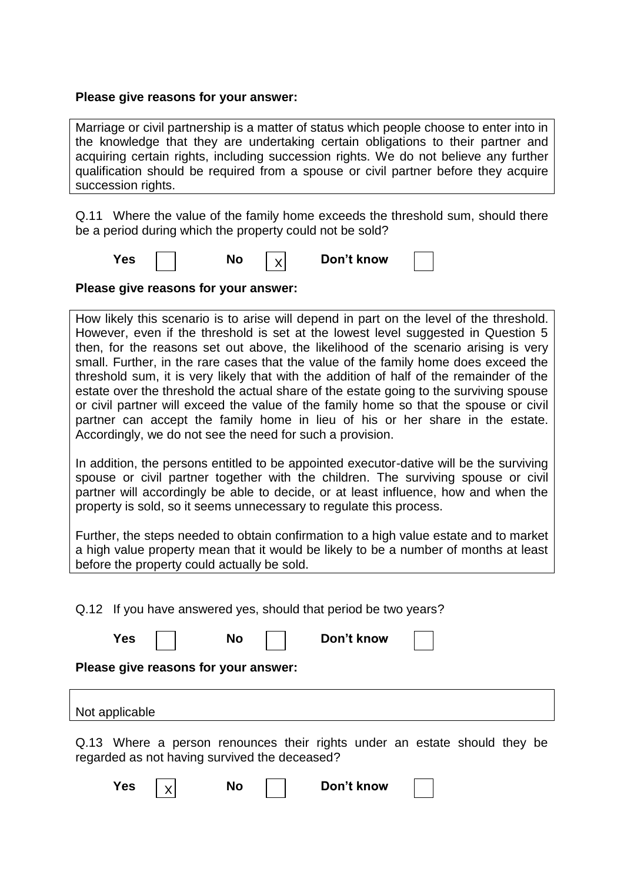#### **Please give reasons for your answer:**

Marriage or civil partnership is a matter of status which people choose to enter into in the knowledge that they are undertaking certain obligations to their partner and acquiring certain rights, including succession rights. We do not believe any further qualification should be required from a spouse or civil partner before they acquire succession rights.

Q.11 Where the value of the family home exceeds the threshold sum, should there be a period during which the property could not be sold?

X



**No**  $\vert \vee \vert$  **Don't know** 

**Please give reasons for your answer:**

How likely this scenario is to arise will depend in part on the level of the threshold. However, even if the threshold is set at the lowest level suggested in Question 5 then, for the reasons set out above, the likelihood of the scenario arising is very small. Further, in the rare cases that the value of the family home does exceed the threshold sum, it is very likely that with the addition of half of the remainder of the estate over the threshold the actual share of the estate going to the surviving spouse or civil partner will exceed the value of the family home so that the spouse or civil partner can accept the family home in lieu of his or her share in the estate. Accordingly, we do not see the need for such a provision.

In addition, the persons entitled to be appointed executor-dative will be the surviving spouse or civil partner together with the children. The surviving spouse or civil partner will accordingly be able to decide, or at least influence, how and when the property is sold, so it seems unnecessary to regulate this process.

Further, the steps needed to obtain confirmation to a high value estate and to market a high value property mean that it would be likely to be a number of months at least before the property could actually be sold.

Q.12 If you have answered yes, should that period be two years? Yes I No I Don't know **Please give reasons for your answer:** Not applicable Q.13 Where a person renounces their rights under an estate should they be regarded as not having survived the deceased?

| Yes |  | Nο |  | Don't know |  |  |
|-----|--|----|--|------------|--|--|
|-----|--|----|--|------------|--|--|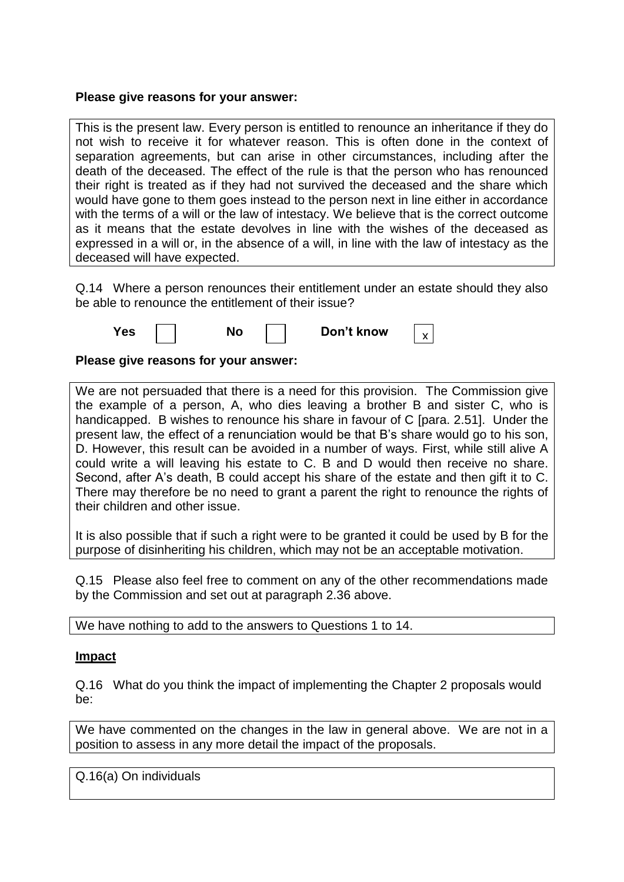### **Please give reasons for your answer:**

This is the present law. Every person is entitled to renounce an inheritance if they do not wish to receive it for whatever reason. This is often done in the context of separation agreements, but can arise in other circumstances, including after the death of the deceased. The effect of the rule is that the person who has renounced their right is treated as if they had not survived the deceased and the share which would have gone to them goes instead to the person next in line either in accordance with the terms of a will or the law of intestacy. We believe that is the correct outcome as it means that the estate devolves in line with the wishes of the deceased as expressed in a will or, in the absence of a will, in line with the law of intestacy as the deceased will have expected.

Q.14 Where a person renounces their entitlement under an estate should they also be able to renounce the entitlement of their issue?



### **Please give reasons for your answer:**

We are not persuaded that there is a need for this provision. The Commission give the example of a person, A, who dies leaving a brother B and sister C, who is handicapped. B wishes to renounce his share in favour of C [para. 2.51]. Under the present law, the effect of a renunciation would be that B"s share would go to his son, D. However, this result can be avoided in a number of ways. First, while still alive A could write a will leaving his estate to C. B and D would then receive no share. Second, after A"s death, B could accept his share of the estate and then gift it to C. There may therefore be no need to grant a parent the right to renounce the rights of their children and other issue.

It is also possible that if such a right were to be granted it could be used by B for the purpose of disinheriting his children, which may not be an acceptable motivation.

Q.15 Please also feel free to comment on any of the other recommendations made by the Commission and set out at paragraph 2.36 above.

We have nothing to add to the answers to Questions 1 to 14.

### **Impact**

Q.16 What do you think the impact of implementing the Chapter 2 proposals would be:

We have commented on the changes in the law in general above. We are not in a position to assess in any more detail the impact of the proposals.

Q.16(a) On individuals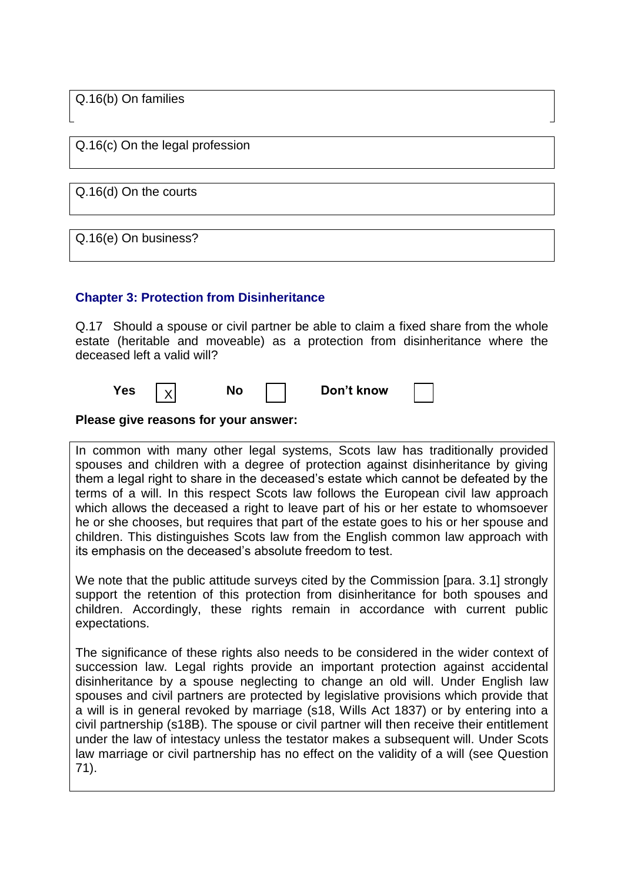Q.16(b) On families

Q.16(c) On the legal profession

Q.16(d) On the courts

Q.16(e) On business?

### **Chapter 3: Protection from Disinheritance**

Q.17 Should a spouse or civil partner be able to claim a fixed share from the whole estate (heritable and moveable) as a protection from disinheritance where the deceased left a valid will?



**Please give reasons for your answer:**

In common with many other legal systems, Scots law has traditionally provided spouses and children with a degree of protection against disinheritance by giving them a legal right to share in the deceased"s estate which cannot be defeated by the terms of a will. In this respect Scots law follows the European civil law approach which allows the deceased a right to leave part of his or her estate to whomsoever he or she chooses, but requires that part of the estate goes to his or her spouse and children. This distinguishes Scots law from the English common law approach with its emphasis on the deceased"s absolute freedom to test.

We note that the public attitude surveys cited by the Commission [para. 3.1] strongly support the retention of this protection from disinheritance for both spouses and children. Accordingly, these rights remain in accordance with current public expectations.

The significance of these rights also needs to be considered in the wider context of succession law. Legal rights provide an important protection against accidental disinheritance by a spouse neglecting to change an old will. Under English law spouses and civil partners are protected by legislative provisions which provide that a will is in general revoked by marriage (s18, Wills Act 1837) or by entering into a civil partnership (s18B). The spouse or civil partner will then receive their entitlement under the law of intestacy unless the testator makes a subsequent will. Under Scots law marriage or civil partnership has no effect on the validity of a will (see Question 71).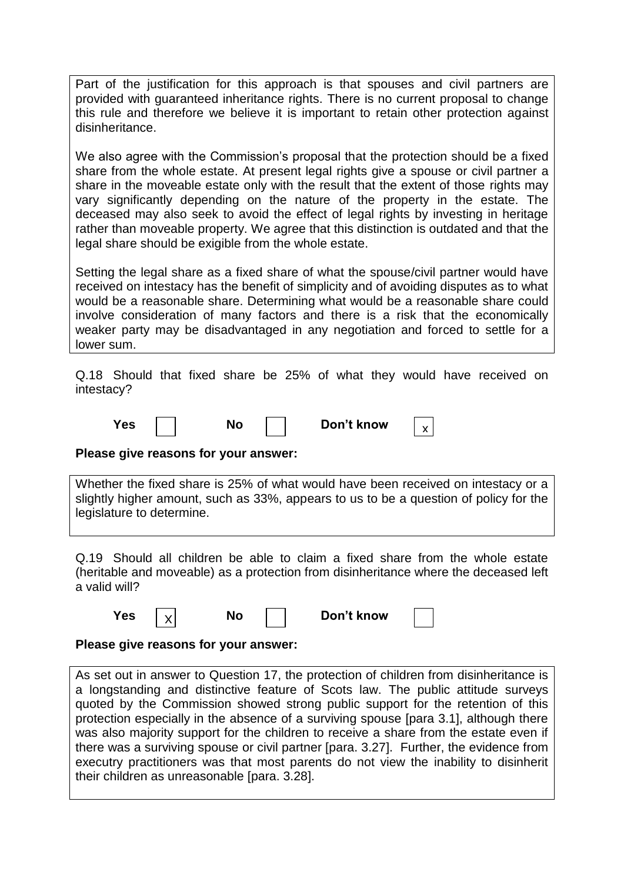Part of the justification for this approach is that spouses and civil partners are provided with guaranteed inheritance rights. There is no current proposal to change this rule and therefore we believe it is important to retain other protection against disinheritance.

We also agree with the Commission's proposal that the protection should be a fixed share from the whole estate. At present legal rights give a spouse or civil partner a share in the moveable estate only with the result that the extent of those rights may vary significantly depending on the nature of the property in the estate. The deceased may also seek to avoid the effect of legal rights by investing in heritage rather than moveable property. We agree that this distinction is outdated and that the legal share should be exigible from the whole estate.

Setting the legal share as a fixed share of what the spouse/civil partner would have received on intestacy has the benefit of simplicity and of avoiding disputes as to what would be a reasonable share. Determining what would be a reasonable share could involve consideration of many factors and there is a risk that the economically weaker party may be disadvantaged in any negotiation and forced to settle for a lower sum.

Q.18 Should that fixed share be 25% of what they would have received on intestacy?

| Yes | NC | Don't know |  |
|-----|----|------------|--|
|-----|----|------------|--|

### **Please give reasons for your answer:**

Whether the fixed share is 25% of what would have been received on intestacy or a slightly higher amount, such as 33%, appears to us to be a question of policy for the legislature to determine.

Q.19 Should all children be able to claim a fixed share from the whole estate (heritable and moveable) as a protection from disinheritance where the deceased left a valid will?

| Yes |  | No | Don't know |  |
|-----|--|----|------------|--|
|-----|--|----|------------|--|

### **Please give reasons for your answer:**

As set out in answer to Question 17, the protection of children from disinheritance is a longstanding and distinctive feature of Scots law. The public attitude surveys quoted by the Commission showed strong public support for the retention of this protection especially in the absence of a surviving spouse [para 3.1], although there was also majority support for the children to receive a share from the estate even if there was a surviving spouse or civil partner [para. 3.27]. Further, the evidence from executry practitioners was that most parents do not view the inability to disinherit their children as unreasonable [para. 3.28].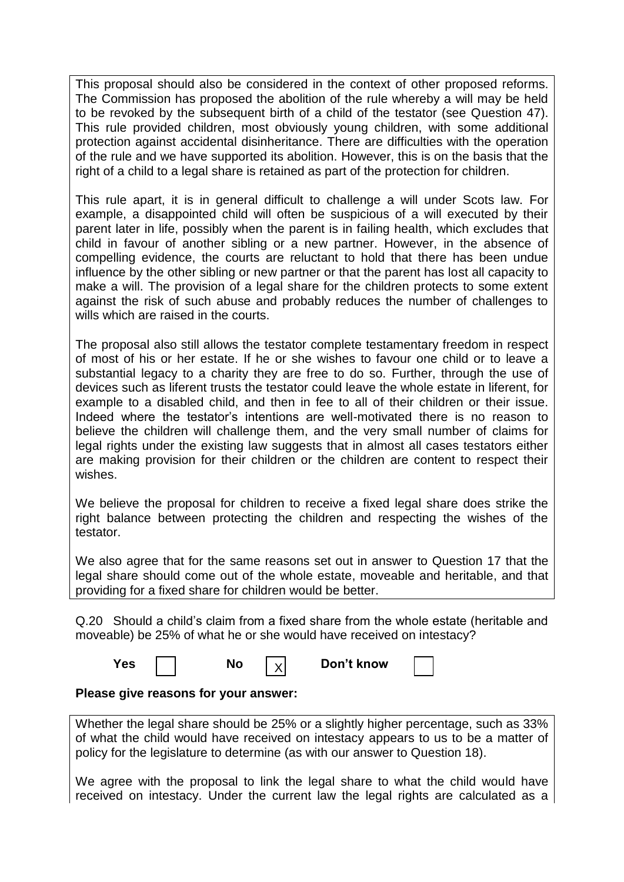This proposal should also be considered in the context of other proposed reforms. The Commission has proposed the abolition of the rule whereby a will may be held to be revoked by the subsequent birth of a child of the testator (see Question 47). This rule provided children, most obviously young children, with some additional protection against accidental disinheritance. There are difficulties with the operation of the rule and we have supported its abolition. However, this is on the basis that the right of a child to a legal share is retained as part of the protection for children.

This rule apart, it is in general difficult to challenge a will under Scots law. For example, a disappointed child will often be suspicious of a will executed by their parent later in life, possibly when the parent is in failing health, which excludes that child in favour of another sibling or a new partner. However, in the absence of compelling evidence, the courts are reluctant to hold that there has been undue influence by the other sibling or new partner or that the parent has lost all capacity to make a will. The provision of a legal share for the children protects to some extent against the risk of such abuse and probably reduces the number of challenges to wills which are raised in the courts.

The proposal also still allows the testator complete testamentary freedom in respect of most of his or her estate. If he or she wishes to favour one child or to leave a substantial legacy to a charity they are free to do so. Further, through the use of devices such as liferent trusts the testator could leave the whole estate in liferent, for example to a disabled child, and then in fee to all of their children or their issue. Indeed where the testator"s intentions are well-motivated there is no reason to believe the children will challenge them, and the very small number of claims for legal rights under the existing law suggests that in almost all cases testators either are making provision for their children or the children are content to respect their wishes.

We believe the proposal for children to receive a fixed legal share does strike the right balance between protecting the children and respecting the wishes of the testator.

We also agree that for the same reasons set out in answer to Question 17 that the legal share should come out of the whole estate, moveable and heritable, and that providing for a fixed share for children would be better.

Q.20 Should a child"s claim from a fixed share from the whole estate (heritable and moveable) be 25% of what he or she would have received on intestacy?

X

**Yes**  $\vert \vert$  **No**  $\vert \vert \sqrt{ } \vert$  **Don't know** 

# **Please give reasons for your answer:**

Whether the legal share should be 25% or a slightly higher percentage, such as 33% of what the child would have received on intestacy appears to us to be a matter of policy for the legislature to determine (as with our answer to Question 18).

We agree with the proposal to link the legal share to what the child would have received on intestacy. Under the current law the legal rights are calculated as a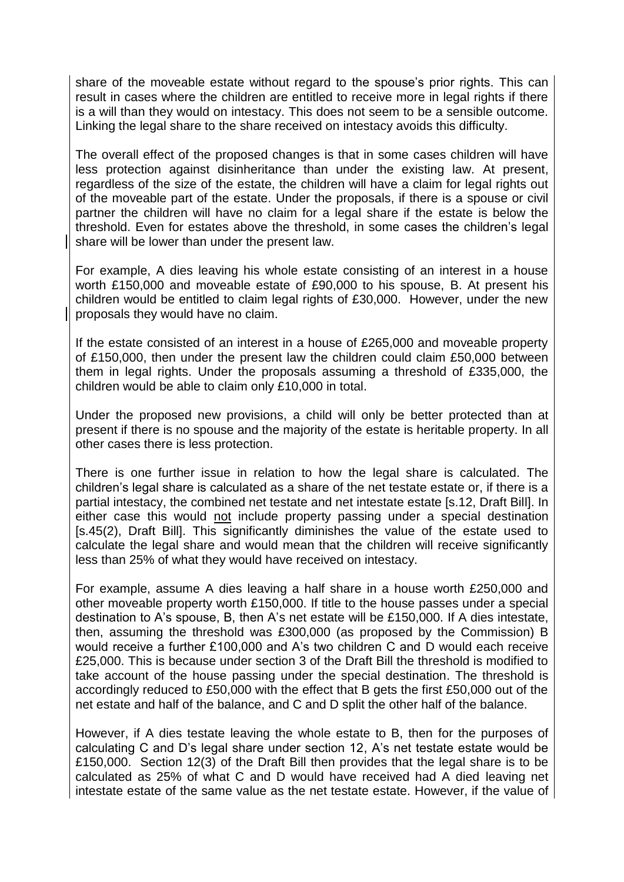share of the moveable estate without regard to the spouse"s prior rights. This can result in cases where the children are entitled to receive more in legal rights if there is a will than they would on intestacy. This does not seem to be a sensible outcome. Linking the legal share to the share received on intestacy avoids this difficulty.

The overall effect of the proposed changes is that in some cases children will have less protection against disinheritance than under the existing law. At present, regardless of the size of the estate, the children will have a claim for legal rights out of the moveable part of the estate. Under the proposals, if there is a spouse or civil partner the children will have no claim for a legal share if the estate is below the threshold. Even for estates above the threshold, in some cases the children"s legal share will be lower than under the present law.

For example, A dies leaving his whole estate consisting of an interest in a house worth £150,000 and moveable estate of £90,000 to his spouse, B. At present his children would be entitled to claim legal rights of £30,000. However, under the new proposals they would have no claim.

If the estate consisted of an interest in a house of £265,000 and moveable property of £150,000, then under the present law the children could claim £50,000 between them in legal rights. Under the proposals assuming a threshold of £335,000, the children would be able to claim only £10,000 in total.

Under the proposed new provisions, a child will only be better protected than at present if there is no spouse and the majority of the estate is heritable property. In all other cases there is less protection.

There is one further issue in relation to how the legal share is calculated. The children"s legal share is calculated as a share of the net testate estate or, if there is a partial intestacy, the combined net testate and net intestate estate [s.12, Draft Bill]. In either case this would not include property passing under a special destination [s.45(2), Draft Bill]. This significantly diminishes the value of the estate used to calculate the legal share and would mean that the children will receive significantly less than 25% of what they would have received on intestacy.

For example, assume A dies leaving a half share in a house worth £250,000 and other moveable property worth £150,000. If title to the house passes under a special destination to A"s spouse, B, then A"s net estate will be £150,000. If A dies intestate, then, assuming the threshold was £300,000 (as proposed by the Commission) B would receive a further £100,000 and A"s two children C and D would each receive £25,000. This is because under section 3 of the Draft Bill the threshold is modified to take account of the house passing under the special destination. The threshold is accordingly reduced to £50,000 with the effect that B gets the first £50,000 out of the net estate and half of the balance, and C and D split the other half of the balance.

However, if A dies testate leaving the whole estate to B, then for the purposes of calculating C and D"s legal share under section 12, A"s net testate estate would be £150,000. Section 12(3) of the Draft Bill then provides that the legal share is to be calculated as 25% of what C and D would have received had A died leaving net intestate estate of the same value as the net testate estate. However, if the value of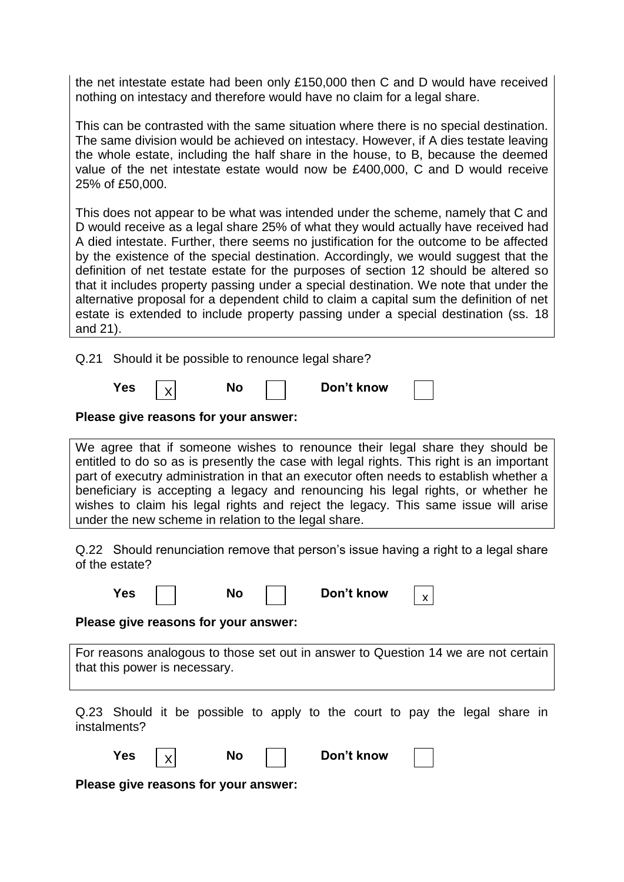the net intestate estate had been only £150,000 then C and D would have received nothing on intestacy and therefore would have no claim for a legal share.

This can be contrasted with the same situation where there is no special destination. The same division would be achieved on intestacy. However, if A dies testate leaving the whole estate, including the half share in the house, to B, because the deemed value of the net intestate estate would now be £400,000, C and D would receive 25% of £50,000.

This does not appear to be what was intended under the scheme, namely that C and D would receive as a legal share 25% of what they would actually have received had A died intestate. Further, there seems no justification for the outcome to be affected by the existence of the special destination. Accordingly, we would suggest that the definition of net testate estate for the purposes of section 12 should be altered so that it includes property passing under a special destination. We note that under the alternative proposal for a dependent child to claim a capital sum the definition of net estate is extended to include property passing under a special destination (ss. 18 and 21).

Q.21 Should it be possible to renounce legal share?

| Yes<br>NΟ |  |  |  | Don't know |  |
|-----------|--|--|--|------------|--|
|-----------|--|--|--|------------|--|

**Please give reasons for your answer:**

We agree that if someone wishes to renounce their legal share they should be entitled to do so as is presently the case with legal rights. This right is an important part of executry administration in that an executor often needs to establish whether a beneficiary is accepting a legacy and renouncing his legal rights, or whether he wishes to claim his legal rights and reject the legacy. This same issue will arise under the new scheme in relation to the legal share.

Q.22 Should renunciation remove that person"s issue having a right to a legal share of the estate?

| <b>No</b><br>Don't know<br>Yes<br>X                                                                                 |
|---------------------------------------------------------------------------------------------------------------------|
| Please give reasons for your answer:                                                                                |
| For reasons analogous to those set out in answer to Question 14 we are not certain<br>that this power is necessary. |
| Q.23 Should it be possible to apply to the court to pay the legal share in<br>instalments?                          |
| <b>Yes</b><br><b>No</b><br>Don't know                                                                               |
| Please give reasons for your answer:                                                                                |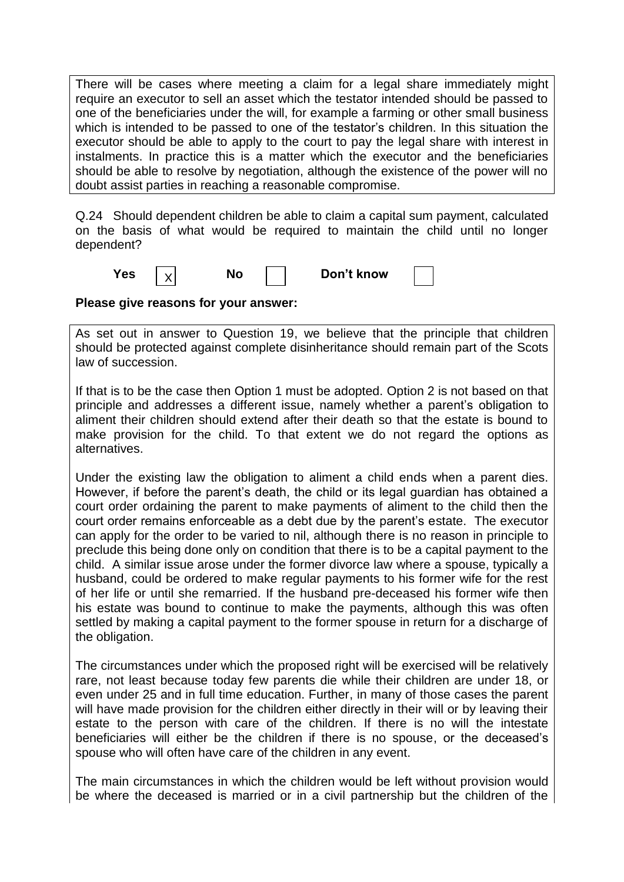There will be cases where meeting a claim for a legal share immediately might require an executor to sell an asset which the testator intended should be passed to one of the beneficiaries under the will, for example a farming or other small business which is intended to be passed to one of the testator's children. In this situation the executor should be able to apply to the court to pay the legal share with interest in instalments. In practice this is a matter which the executor and the beneficiaries should be able to resolve by negotiation, although the existence of the power will no doubt assist parties in reaching a reasonable compromise.

Q.24 Should dependent children be able to claim a capital sum payment, calculated on the basis of what would be required to maintain the child until no longer dependent?

| Yes |  | NO | Don't know |  |
|-----|--|----|------------|--|
|-----|--|----|------------|--|

**Please give reasons for your answer:**

As set out in answer to Question 19, we believe that the principle that children should be protected against complete disinheritance should remain part of the Scots law of succession.

If that is to be the case then Option 1 must be adopted. Option 2 is not based on that principle and addresses a different issue, namely whether a parent"s obligation to aliment their children should extend after their death so that the estate is bound to make provision for the child. To that extent we do not regard the options as alternatives.

Under the existing law the obligation to aliment a child ends when a parent dies. However, if before the parent"s death, the child or its legal guardian has obtained a court order ordaining the parent to make payments of aliment to the child then the court order remains enforceable as a debt due by the parent"s estate. The executor can apply for the order to be varied to nil, although there is no reason in principle to preclude this being done only on condition that there is to be a capital payment to the child. A similar issue arose under the former divorce law where a spouse, typically a husband, could be ordered to make regular payments to his former wife for the rest of her life or until she remarried. If the husband pre-deceased his former wife then his estate was bound to continue to make the payments, although this was often settled by making a capital payment to the former spouse in return for a discharge of the obligation.

The circumstances under which the proposed right will be exercised will be relatively rare, not least because today few parents die while their children are under 18, or even under 25 and in full time education. Further, in many of those cases the parent will have made provision for the children either directly in their will or by leaving their estate to the person with care of the children. If there is no will the intestate beneficiaries will either be the children if there is no spouse, or the deceased"s spouse who will often have care of the children in any event.

The main circumstances in which the children would be left without provision would be where the deceased is married or in a civil partnership but the children of the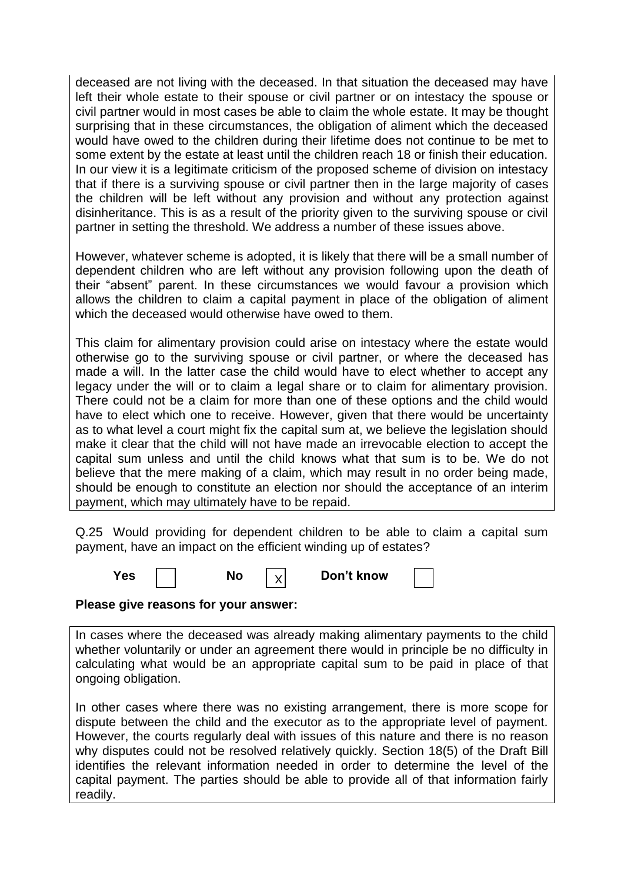deceased are not living with the deceased. In that situation the deceased may have left their whole estate to their spouse or civil partner or on intestacy the spouse or civil partner would in most cases be able to claim the whole estate. It may be thought surprising that in these circumstances, the obligation of aliment which the deceased would have owed to the children during their lifetime does not continue to be met to some extent by the estate at least until the children reach 18 or finish their education. In our view it is a legitimate criticism of the proposed scheme of division on intestacy that if there is a surviving spouse or civil partner then in the large majority of cases the children will be left without any provision and without any protection against disinheritance. This is as a result of the priority given to the surviving spouse or civil partner in setting the threshold. We address a number of these issues above.

However, whatever scheme is adopted, it is likely that there will be a small number of dependent children who are left without any provision following upon the death of their "absent" parent. In these circumstances we would favour a provision which allows the children to claim a capital payment in place of the obligation of aliment which the deceased would otherwise have owed to them.

This claim for alimentary provision could arise on intestacy where the estate would otherwise go to the surviving spouse or civil partner, or where the deceased has made a will. In the latter case the child would have to elect whether to accept any legacy under the will or to claim a legal share or to claim for alimentary provision. There could not be a claim for more than one of these options and the child would have to elect which one to receive. However, given that there would be uncertainty as to what level a court might fix the capital sum at, we believe the legislation should make it clear that the child will not have made an irrevocable election to accept the capital sum unless and until the child knows what that sum is to be. We do not believe that the mere making of a claim, which may result in no order being made, should be enough to constitute an election nor should the acceptance of an interim payment, which may ultimately have to be repaid.

Q.25 Would providing for dependent children to be able to claim a capital sum payment, have an impact on the efficient winding up of estates?

X

| Yes | No |  | Don't know |
|-----|----|--|------------|
|-----|----|--|------------|

**Please give reasons for your answer:**

In cases where the deceased was already making alimentary payments to the child whether voluntarily or under an agreement there would in principle be no difficulty in calculating what would be an appropriate capital sum to be paid in place of that ongoing obligation.

In other cases where there was no existing arrangement, there is more scope for dispute between the child and the executor as to the appropriate level of payment. However, the courts regularly deal with issues of this nature and there is no reason why disputes could not be resolved relatively quickly. Section 18(5) of the Draft Bill identifies the relevant information needed in order to determine the level of the capital payment. The parties should be able to provide all of that information fairly readily.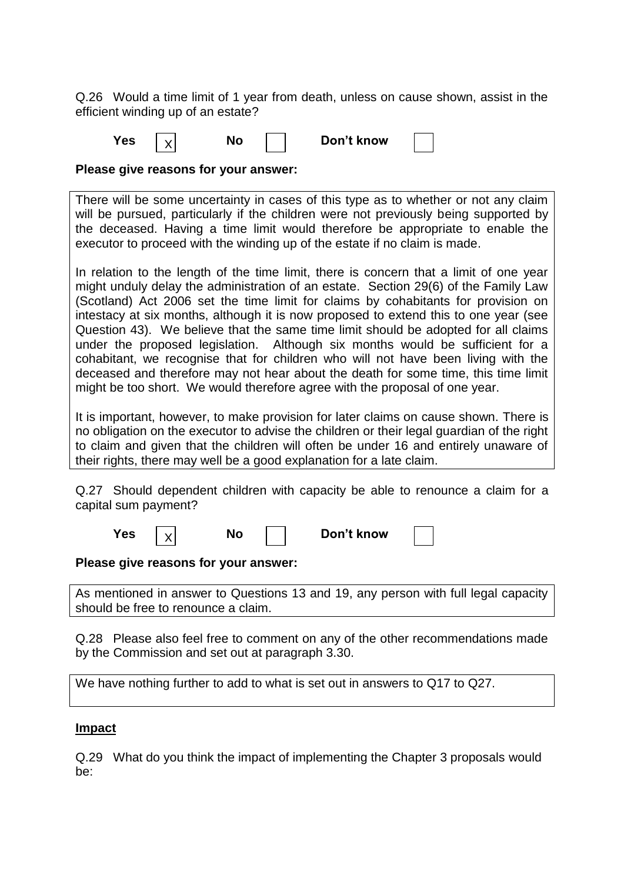Q.26 Would a time limit of 1 year from death, unless on cause shown, assist in the efficient winding up of an estate?

**Yes**  $|y|$  No  $|$  Don't know X

**Please give reasons for your answer:**

There will be some uncertainty in cases of this type as to whether or not any claim will be pursued, particularly if the children were not previously being supported by the deceased. Having a time limit would therefore be appropriate to enable the executor to proceed with the winding up of the estate if no claim is made.

In relation to the length of the time limit, there is concern that a limit of one year might unduly delay the administration of an estate. Section 29(6) of the Family Law (Scotland) Act 2006 set the time limit for claims by cohabitants for provision on intestacy at six months, although it is now proposed to extend this to one year (see Question 43). We believe that the same time limit should be adopted for all claims under the proposed legislation. Although six months would be sufficient for a cohabitant, we recognise that for children who will not have been living with the deceased and therefore may not hear about the death for some time, this time limit might be too short. We would therefore agree with the proposal of one year.

It is important, however, to make provision for later claims on cause shown. There is no obligation on the executor to advise the children or their legal guardian of the right to claim and given that the children will often be under 16 and entirely unaware of their rights, there may well be a good explanation for a late claim.

Q.27 Should dependent children with capacity be able to renounce a claim for a capital sum payment?

| Don't know<br>Yes<br>Nα |  |
|-------------------------|--|
|-------------------------|--|

**Please give reasons for your answer:**

As mentioned in answer to Questions 13 and 19, any person with full legal capacity should be free to renounce a claim.

Q.28 Please also feel free to comment on any of the other recommendations made by the Commission and set out at paragraph 3.30.

We have nothing further to add to what is set out in answers to Q17 to Q27.

# **Impact**

Q.29 What do you think the impact of implementing the Chapter 3 proposals would be: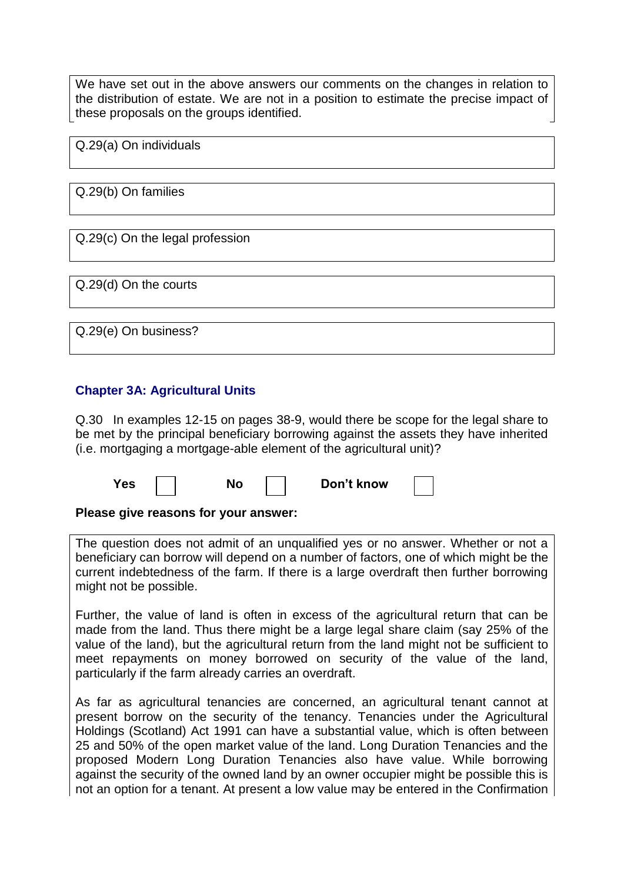We have set out in the above answers our comments on the changes in relation to the distribution of estate. We are not in a position to estimate the precise impact of these proposals on the groups identified.

Q.29(a) On individuals

Q.29(b) On families

Q.29(c) On the legal profession

Q.29(d) On the courts

Q.29(e) On business?

# **Chapter 3A: Agricultural Units**

Q.30 In examples 12-15 on pages 38-9, would there be scope for the legal share to be met by the principal beneficiary borrowing against the assets they have inherited (i.e. mortgaging a mortgage-able element of the agricultural unit)?

| es' | Nſ<br>JV. | Don't know |  |
|-----|-----------|------------|--|
|-----|-----------|------------|--|

### **Please give reasons for your answer:**

The question does not admit of an unqualified yes or no answer. Whether or not a beneficiary can borrow will depend on a number of factors, one of which might be the current indebtedness of the farm. If there is a large overdraft then further borrowing might not be possible.

Further, the value of land is often in excess of the agricultural return that can be made from the land. Thus there might be a large legal share claim (say 25% of the value of the land), but the agricultural return from the land might not be sufficient to meet repayments on money borrowed on security of the value of the land, particularly if the farm already carries an overdraft.

As far as agricultural tenancies are concerned, an agricultural tenant cannot at present borrow on the security of the tenancy. Tenancies under the Agricultural Holdings (Scotland) Act 1991 can have a substantial value, which is often between 25 and 50% of the open market value of the land. Long Duration Tenancies and the proposed Modern Long Duration Tenancies also have value. While borrowing against the security of the owned land by an owner occupier might be possible this is not an option for a tenant. At present a low value may be entered in the Confirmation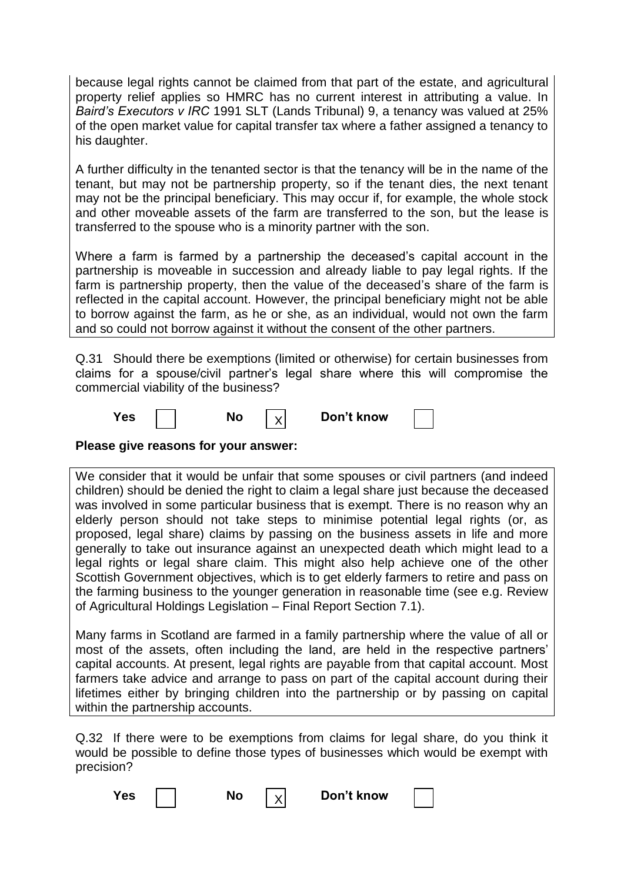because legal rights cannot be claimed from that part of the estate, and agricultural property relief applies so HMRC has no current interest in attributing a value. In *Baird's Executors v IRC* 1991 SLT (Lands Tribunal) 9, a tenancy was valued at 25% of the open market value for capital transfer tax where a father assigned a tenancy to his daughter.

A further difficulty in the tenanted sector is that the tenancy will be in the name of the tenant, but may not be partnership property, so if the tenant dies, the next tenant may not be the principal beneficiary. This may occur if, for example, the whole stock and other moveable assets of the farm are transferred to the son, but the lease is transferred to the spouse who is a minority partner with the son.

Where a farm is farmed by a partnership the deceased"s capital account in the partnership is moveable in succession and already liable to pay legal rights. If the farm is partnership property, then the value of the deceased"s share of the farm is reflected in the capital account. However, the principal beneficiary might not be able to borrow against the farm, as he or she, as an individual, would not own the farm and so could not borrow against it without the consent of the other partners.

Q.31 Should there be exemptions (limited or otherwise) for certain businesses from claims for a spouse/civil partner"s legal share where this will compromise the commercial viability of the business?

| ΈS<br>NΟ<br>- | Don't know |
|---------------|------------|
|---------------|------------|

**Please give reasons for your answer:**

We consider that it would be unfair that some spouses or civil partners (and indeed children) should be denied the right to claim a legal share just because the deceased was involved in some particular business that is exempt. There is no reason why an elderly person should not take steps to minimise potential legal rights (or, as proposed, legal share) claims by passing on the business assets in life and more generally to take out insurance against an unexpected death which might lead to a legal rights or legal share claim. This might also help achieve one of the other Scottish Government objectives, which is to get elderly farmers to retire and pass on the farming business to the younger generation in reasonable time (see e.g. Review of Agricultural Holdings Legislation – Final Report Section 7.1).

Many farms in Scotland are farmed in a family partnership where the value of all or most of the assets, often including the land, are held in the respective partners" capital accounts. At present, legal rights are payable from that capital account. Most farmers take advice and arrange to pass on part of the capital account during their lifetimes either by bringing children into the partnership or by passing on capital within the partnership accounts.

Q.32 If there were to be exemptions from claims for legal share, do you think it would be possible to define those types of businesses which would be exempt with precision?

X

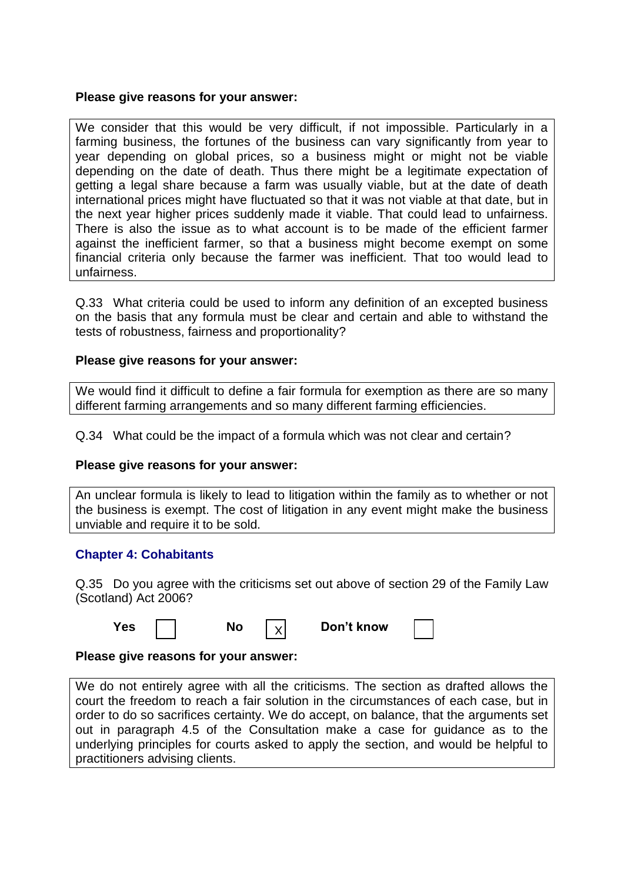### **Please give reasons for your answer:**

We consider that this would be very difficult, if not impossible. Particularly in a farming business, the fortunes of the business can vary significantly from year to year depending on global prices, so a business might or might not be viable depending on the date of death. Thus there might be a legitimate expectation of getting a legal share because a farm was usually viable, but at the date of death international prices might have fluctuated so that it was not viable at that date, but in the next year higher prices suddenly made it viable. That could lead to unfairness. There is also the issue as to what account is to be made of the efficient farmer against the inefficient farmer, so that a business might become exempt on some financial criteria only because the farmer was inefficient. That too would lead to unfairness.

Q.33 What criteria could be used to inform any definition of an excepted business on the basis that any formula must be clear and certain and able to withstand the tests of robustness, fairness and proportionality?

### **Please give reasons for your answer:**

We would find it difficult to define a fair formula for exemption as there are so many different farming arrangements and so many different farming efficiencies.

Q.34 What could be the impact of a formula which was not clear and certain?

### **Please give reasons for your answer:**

An unclear formula is likely to lead to litigation within the family as to whether or not the business is exempt. The cost of litigation in any event might make the business unviable and require it to be sold.

# **Chapter 4: Cohabitants**

Q.35 Do you agree with the criticisms set out above of section 29 of the Family Law (Scotland) Act 2006?

| I |
|---|
|   |
|   |
|   |

| Yes | No | Don't know |
|-----|----|------------|
|     |    |            |

# **Please give reasons for your answer:**

We do not entirely agree with all the criticisms. The section as drafted allows the court the freedom to reach a fair solution in the circumstances of each case, but in order to do so sacrifices certainty. We do accept, on balance, that the arguments set out in paragraph 4.5 of the Consultation make a case for guidance as to the underlying principles for courts asked to apply the section, and would be helpful to practitioners advising clients.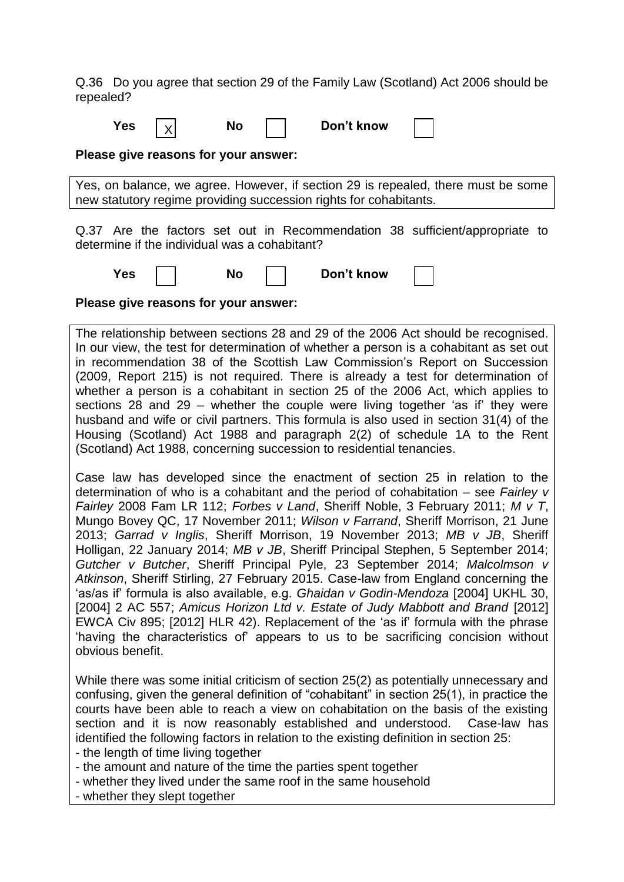Q.36 Do you agree that section 29 of the Family Law (Scotland) Act 2006 should be repealed?

| <b>Yes</b> |  | NΟ | Don't know |
|------------|--|----|------------|
|------------|--|----|------------|

**Please give reasons for your answer:**

Yes, on balance, we agree. However, if section 29 is repealed, there must be some new statutory regime providing succession rights for cohabitants.

Q.37 Are the factors set out in Recommendation 38 sufficient/appropriate to determine if the individual was a cohabitant?

**Yes No Don't know** 

**Please give reasons for your answer:**

The relationship between sections 28 and 29 of the 2006 Act should be recognised. In our view, the test for determination of whether a person is a cohabitant as set out in recommendation 38 of the Scottish Law Commission"s Report on Succession (2009, Report 215) is not required. There is already a test for determination of whether a person is a cohabitant in section 25 of the 2006 Act, which applies to sections 28 and 29 – whether the couple were living together 'as if' they were husband and wife or civil partners. This formula is also used in section 31(4) of the Housing (Scotland) Act 1988 and paragraph 2(2) of schedule 1A to the Rent (Scotland) Act 1988, concerning succession to residential tenancies.

Case law has developed since the enactment of section 25 in relation to the determination of who is a cohabitant and the period of cohabitation – see *Fairley v Fairley* 2008 Fam LR 112; *Forbes v Land*, Sheriff Noble, 3 February 2011; *M v T*, Mungo Bovey QC, 17 November 2011; *Wilson v Farrand*, Sheriff Morrison, 21 June 2013; *Garrad v Inglis*, Sheriff Morrison, 19 November 2013; *MB v JB*, Sheriff Holligan, 22 January 2014; *MB v JB*, Sheriff Principal Stephen, 5 September 2014; *Gutcher v Butcher*, Sheriff Principal Pyle, 23 September 2014; *Malcolmson v Atkinson*, Sheriff Stirling, 27 February 2015. Case-law from England concerning the "as/as if" formula is also available, e.g. *Ghaidan v Godin-Mendoza* [2004] UKHL 30, [2004] 2 AC 557; Amicus Horizon Ltd v. Estate of Judy Mabbott and Brand <sup>[2012]</sup> EWCA Civ 895; [2012] HLR 42). Replacement of the "as if" formula with the phrase "having the characteristics of" appears to us to be sacrificing concision without obvious benefit.

While there was some initial criticism of section 25(2) as potentially unnecessary and confusing, given the general definition of "cohabitant" in section 25(1), in practice the courts have been able to reach a view on cohabitation on the basis of the existing section and it is now reasonably established and understood. Case-law has identified the following factors in relation to the existing definition in section 25:

- the length of time living together

- the amount and nature of the time the parties spent together

- whether they lived under the same roof in the same household

- whether they slept together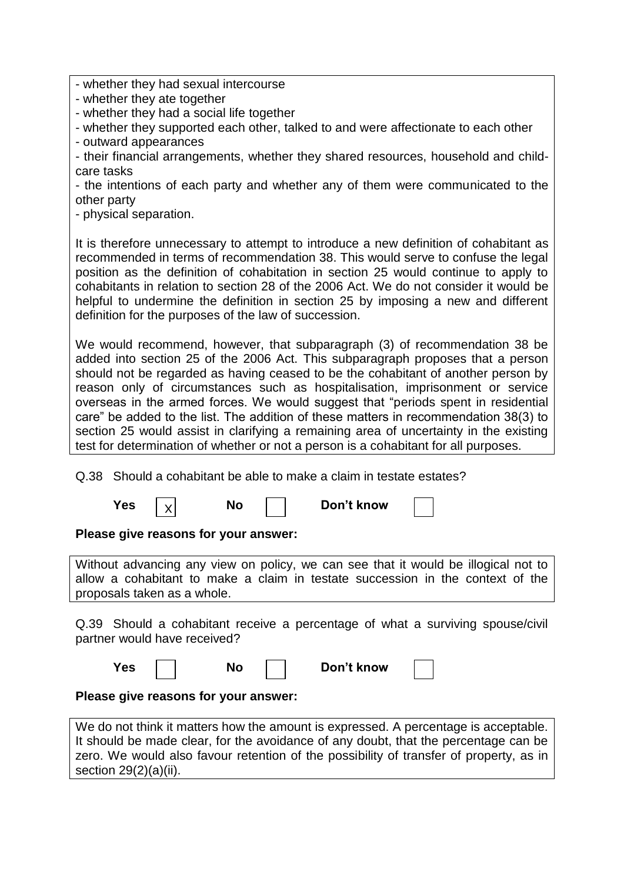- whether they had sexual intercourse

- whether they ate together

- whether they had a social life together

- whether they supported each other, talked to and were affectionate to each other

- outward appearances

- their financial arrangements, whether they shared resources, household and childcare tasks

- the intentions of each party and whether any of them were communicated to the other party

- physical separation.

It is therefore unnecessary to attempt to introduce a new definition of cohabitant as recommended in terms of recommendation 38. This would serve to confuse the legal position as the definition of cohabitation in section 25 would continue to apply to cohabitants in relation to section 28 of the 2006 Act. We do not consider it would be helpful to undermine the definition in section 25 by imposing a new and different definition for the purposes of the law of succession.

We would recommend, however, that subparagraph (3) of recommendation 38 be added into section 25 of the 2006 Act. This subparagraph proposes that a person should not be regarded as having ceased to be the cohabitant of another person by reason only of circumstances such as hospitalisation, imprisonment or service overseas in the armed forces. We would suggest that "periods spent in residential care" be added to the list. The addition of these matters in recommendation 38(3) to section 25 would assist in clarifying a remaining area of uncertainty in the existing test for determination of whether or not a person is a cohabitant for all purposes.

Q.38 Should a cohabitant be able to make a claim in testate estates?

X

**Yes**  $|y|$  No  $|$  Don't know

**Please give reasons for your answer:**

Without advancing any view on policy, we can see that it would be illogical not to allow a cohabitant to make a claim in testate succession in the context of the proposals taken as a whole.

Q.39 Should a cohabitant receive a percentage of what a surviving spouse/civil partner would have received?

| Yes | No | Don't know |  |
|-----|----|------------|--|
|-----|----|------------|--|

**Please give reasons for your answer:**

We do not think it matters how the amount is expressed. A percentage is acceptable. It should be made clear, for the avoidance of any doubt, that the percentage can be zero. We would also favour retention of the possibility of transfer of property, as in section 29(2)(a)(ii).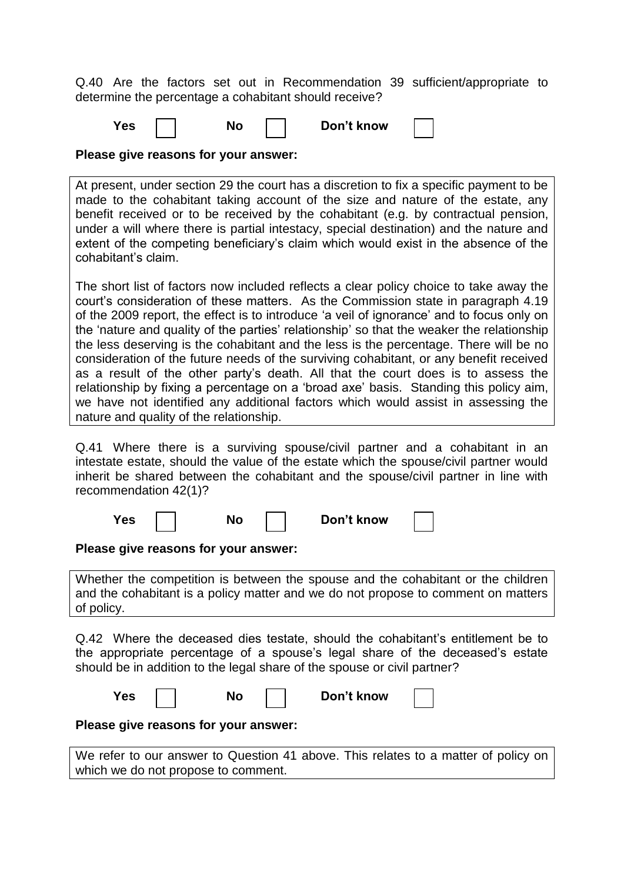Q.40 Are the factors set out in Recommendation 39 sufficient/appropriate to determine the percentage a cohabitant should receive?

| 'es |  | NO |  | Don't know |  |
|-----|--|----|--|------------|--|
|-----|--|----|--|------------|--|

**Please give reasons for your answer:**

At present, under section 29 the court has a discretion to fix a specific payment to be made to the cohabitant taking account of the size and nature of the estate, any benefit received or to be received by the cohabitant (e.g. by contractual pension, under a will where there is partial intestacy, special destination) and the nature and extent of the competing beneficiary"s claim which would exist in the absence of the cohabitant"s claim.

The short list of factors now included reflects a clear policy choice to take away the court"s consideration of these matters. As the Commission state in paragraph 4.19 of the 2009 report, the effect is to introduce "a veil of ignorance" and to focus only on the 'nature and quality of the parties' relationship' so that the weaker the relationship the less deserving is the cohabitant and the less is the percentage. There will be no consideration of the future needs of the surviving cohabitant, or any benefit received as a result of the other party"s death. All that the court does is to assess the relationship by fixing a percentage on a "broad axe" basis. Standing this policy aim, we have not identified any additional factors which would assist in assessing the nature and quality of the relationship.

Q.41 Where there is a surviving spouse/civil partner and a cohabitant in an intestate estate, should the value of the estate which the spouse/civil partner would inherit be shared between the cohabitant and the spouse/civil partner in line with recommendation 42(1)?

| Yes | No | Don't know |  |
|-----|----|------------|--|
|     |    |            |  |

### **Please give reasons for your answer:**

Whether the competition is between the spouse and the cohabitant or the children and the cohabitant is a policy matter and we do not propose to comment on matters of policy.

Q.42 Where the deceased dies testate, should the cohabitant"s entitlement be to the appropriate percentage of a spouse"s legal share of the deceased"s estate should be in addition to the legal share of the spouse or civil partner?

| <b>Yes</b> | <b>No</b> | Don't know |  |
|------------|-----------|------------|--|
|            |           |            |  |

**Please give reasons for your answer:**

We refer to our answer to Question 41 above. This relates to a matter of policy on which we do not propose to comment.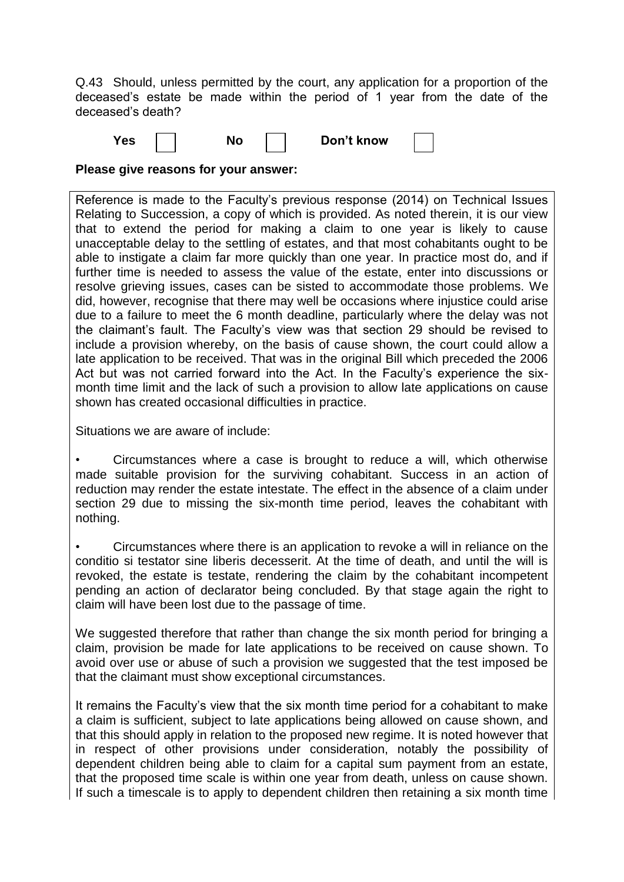Q.43 Should, unless permitted by the court, any application for a proportion of the deceased"s estate be made within the period of 1 year from the date of the deceased"s death?

**Yes** | | No | | Don't know

| n't know |
|----------|
|          |

**Please give reasons for your answer:**

Reference is made to the Faculty"s previous response (2014) on Technical Issues Relating to Succession, a copy of which is provided. As noted therein, it is our view that to extend the period for making a claim to one year is likely to cause unacceptable delay to the settling of estates, and that most cohabitants ought to be able to instigate a claim far more quickly than one year. In practice most do, and if further time is needed to assess the value of the estate, enter into discussions or resolve grieving issues, cases can be sisted to accommodate those problems. We did, however, recognise that there may well be occasions where injustice could arise due to a failure to meet the 6 month deadline, particularly where the delay was not the claimant"s fault. The Faculty"s view was that section 29 should be revised to include a provision whereby, on the basis of cause shown, the court could allow a late application to be received. That was in the original Bill which preceded the 2006 Act but was not carried forward into the Act. In the Faculty"s experience the sixmonth time limit and the lack of such a provision to allow late applications on cause shown has created occasional difficulties in practice.

Situations we are aware of include:

• Circumstances where a case is brought to reduce a will, which otherwise made suitable provision for the surviving cohabitant. Success in an action of reduction may render the estate intestate. The effect in the absence of a claim under section 29 due to missing the six-month time period, leaves the cohabitant with nothing.

• Circumstances where there is an application to revoke a will in reliance on the conditio si testator sine liberis decesserit. At the time of death, and until the will is revoked, the estate is testate, rendering the claim by the cohabitant incompetent pending an action of declarator being concluded. By that stage again the right to claim will have been lost due to the passage of time.

We suggested therefore that rather than change the six month period for bringing a claim, provision be made for late applications to be received on cause shown. To avoid over use or abuse of such a provision we suggested that the test imposed be that the claimant must show exceptional circumstances.

It remains the Faculty"s view that the six month time period for a cohabitant to make a claim is sufficient, subject to late applications being allowed on cause shown, and that this should apply in relation to the proposed new regime. It is noted however that in respect of other provisions under consideration, notably the possibility of dependent children being able to claim for a capital sum payment from an estate, that the proposed time scale is within one year from death, unless on cause shown. If such a timescale is to apply to dependent children then retaining a six month time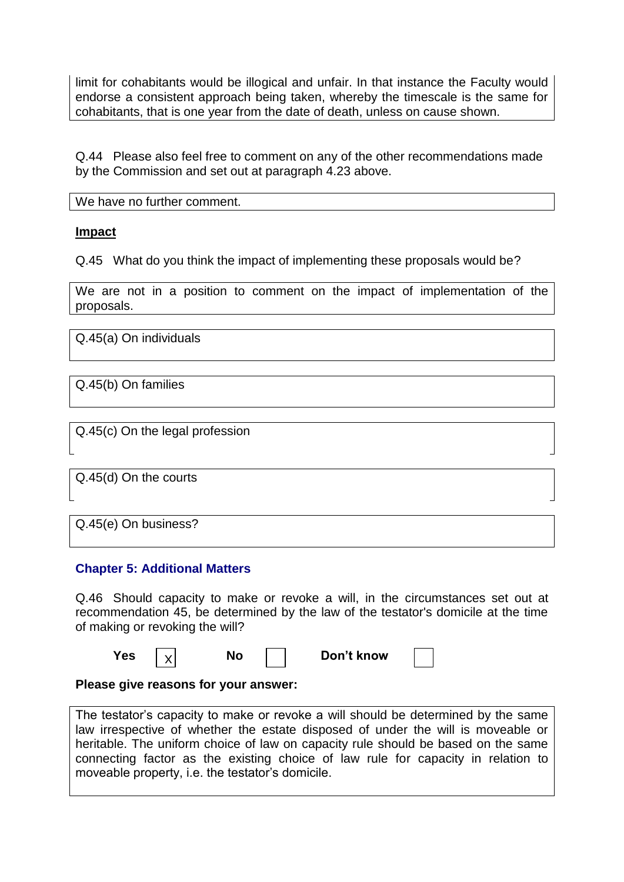limit for cohabitants would be illogical and unfair. In that instance the Faculty would endorse a consistent approach being taken, whereby the timescale is the same for cohabitants, that is one year from the date of death, unless on cause shown.

Q.44 Please also feel free to comment on any of the other recommendations made by the Commission and set out at paragraph 4.23 above.

We have no further comment.

# **Impact**

Q.45 What do you think the impact of implementing these proposals would be?

We are not in a position to comment on the impact of implementation of the proposals.

Q.45(a) On individuals

Q.45(b) On families

Q.45(c) On the legal profession

Q.45(d) On the courts

Q.45(e) On business?

# **Chapter 5: Additional Matters**

Q.46 Should capacity to make or revoke a will, in the circumstances set out at recommendation 45, be determined by the law of the testator's domicile at the time of making or revoking the will?

| Yes |  |  | Don't know |  |
|-----|--|--|------------|--|
|-----|--|--|------------|--|

### **Please give reasons for your answer:**

The testator's capacity to make or revoke a will should be determined by the same law irrespective of whether the estate disposed of under the will is moveable or heritable. The uniform choice of law on capacity rule should be based on the same connecting factor as the existing choice of law rule for capacity in relation to moveable property, i.e. the testator's domicile.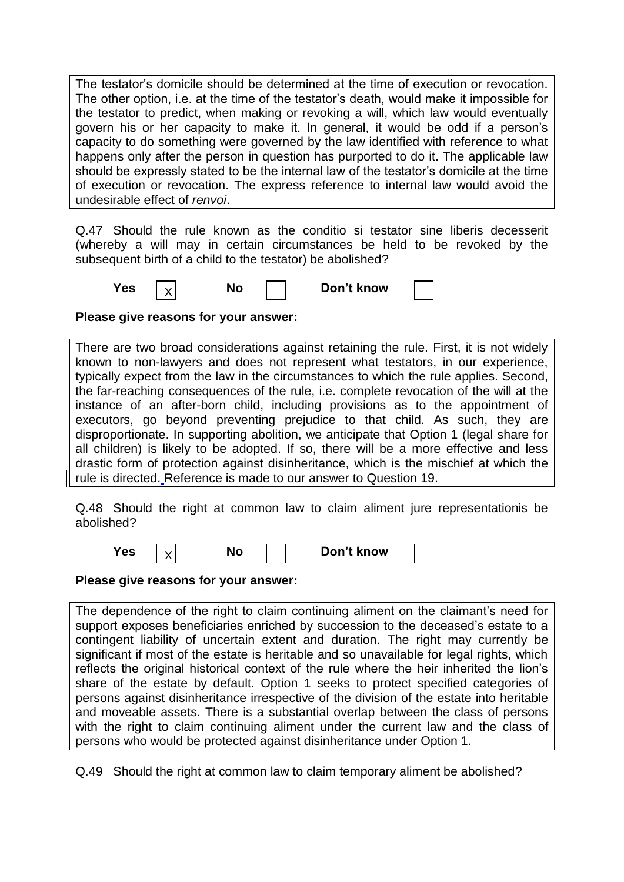The testator"s domicile should be determined at the time of execution or revocation. The other option, i.e. at the time of the testator"s death, would make it impossible for the testator to predict, when making or revoking a will, which law would eventually govern his or her capacity to make it. In general, it would be odd if a person"s capacity to do something were governed by the law identified with reference to what happens only after the person in question has purported to do it. The applicable law should be expressly stated to be the internal law of the testator"s domicile at the time of execution or revocation. The express reference to internal law would avoid the undesirable effect of *renvoi*.

Q.47 Should the rule known as the conditio si testator sine liberis decesserit (whereby a will may in certain circumstances be held to be revoked by the subsequent birth of a child to the testator) be abolished?

**Yes**  $|v|$  **No No Don't** know X

**Please give reasons for your answer:**

There are two broad considerations against retaining the rule. First, it is not widely known to non-lawyers and does not represent what testators, in our experience, typically expect from the law in the circumstances to which the rule applies. Second, the far-reaching consequences of the rule, i.e. complete revocation of the will at the instance of an after-born child, including provisions as to the appointment of executors, go beyond preventing prejudice to that child. As such, they are disproportionate. In supporting abolition, we anticipate that Option 1 (legal share for all children) is likely to be adopted. If so, there will be a more effective and less drastic form of protection against disinheritance, which is the mischief at which the rule is directed. Reference is made to our answer to Question 19.

Q.48 Should the right at common law to claim aliment jure representationis be abolished?

| res |  |  | Don't know |
|-----|--|--|------------|
|-----|--|--|------------|

**Please give reasons for your answer:**

The dependence of the right to claim continuing aliment on the claimant"s need for support exposes beneficiaries enriched by succession to the deceased"s estate to a contingent liability of uncertain extent and duration. The right may currently be significant if most of the estate is heritable and so unavailable for legal rights, which reflects the original historical context of the rule where the heir inherited the lion"s share of the estate by default. Option 1 seeks to protect specified categories of persons against disinheritance irrespective of the division of the estate into heritable and moveable assets. There is a substantial overlap between the class of persons with the right to claim continuing aliment under the current law and the class of persons who would be protected against disinheritance under Option 1.

Q.49 Should the right at common law to claim temporary aliment be abolished?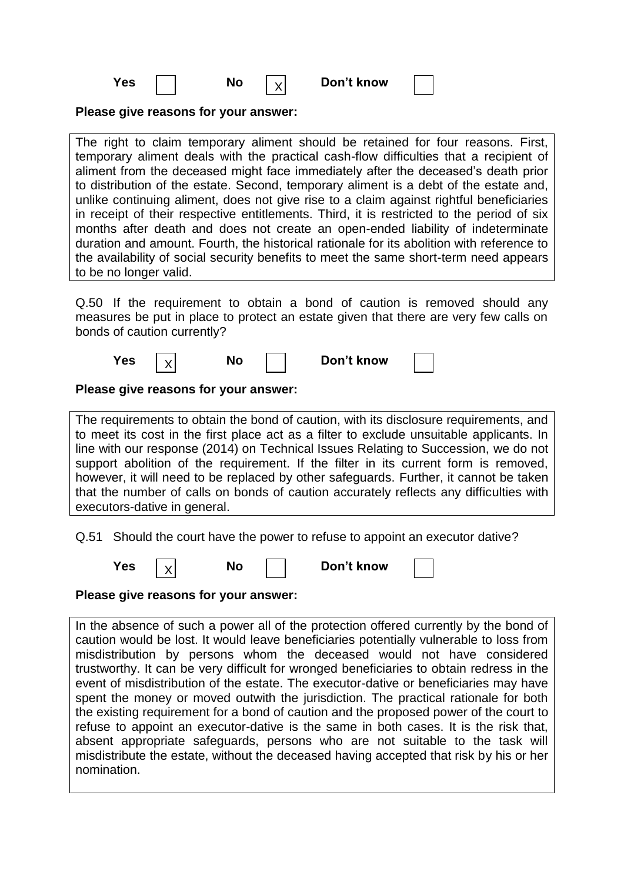| I<br>×<br>۰.<br>w<br>M.<br>۰.<br>۰. |  |
|-------------------------------------|--|
|-------------------------------------|--|

| Yes | No | Don't know |
|-----|----|------------|
|-----|----|------------|

**Please give reasons for your answer:**

The right to claim temporary aliment should be retained for four reasons. First, temporary aliment deals with the practical cash-flow difficulties that a recipient of aliment from the deceased might face immediately after the deceased"s death prior to distribution of the estate. Second, temporary aliment is a debt of the estate and, unlike continuing aliment, does not give rise to a claim against rightful beneficiaries in receipt of their respective entitlements. Third, it is restricted to the period of six months after death and does not create an open-ended liability of indeterminate duration and amount. Fourth, the historical rationale for its abolition with reference to the availability of social security benefits to meet the same short-term need appears to be no longer valid.

X

Q.50 If the requirement to obtain a bond of caution is removed should any measures be put in place to protect an estate given that there are very few calls on bonds of caution currently?

| res / |  | NΟ | Don't know |  |
|-------|--|----|------------|--|
|-------|--|----|------------|--|

# **Please give reasons for your answer:**

The requirements to obtain the bond of caution, with its disclosure requirements, and to meet its cost in the first place act as a filter to exclude unsuitable applicants. In line with our response (2014) on Technical Issues Relating to Succession, we do not support abolition of the requirement. If the filter in its current form is removed, however, it will need to be replaced by other safeguards. Further, it cannot be taken that the number of calls on bonds of caution accurately reflects any difficulties with executors-dative in general.

Q.51 Should the court have the power to refuse to appoint an executor dative?

| <b>Yes</b> |  | No | Don't know |  |
|------------|--|----|------------|--|
|------------|--|----|------------|--|

**Please give reasons for your answer:**

In the absence of such a power all of the protection offered currently by the bond of caution would be lost. It would leave beneficiaries potentially vulnerable to loss from misdistribution by persons whom the deceased would not have considered trustworthy. It can be very difficult for wronged beneficiaries to obtain redress in the event of misdistribution of the estate. The executor-dative or beneficiaries may have spent the money or moved outwith the jurisdiction. The practical rationale for both the existing requirement for a bond of caution and the proposed power of the court to refuse to appoint an executor-dative is the same in both cases. It is the risk that, absent appropriate safeguards, persons who are not suitable to the task will misdistribute the estate, without the deceased having accepted that risk by his or her nomination.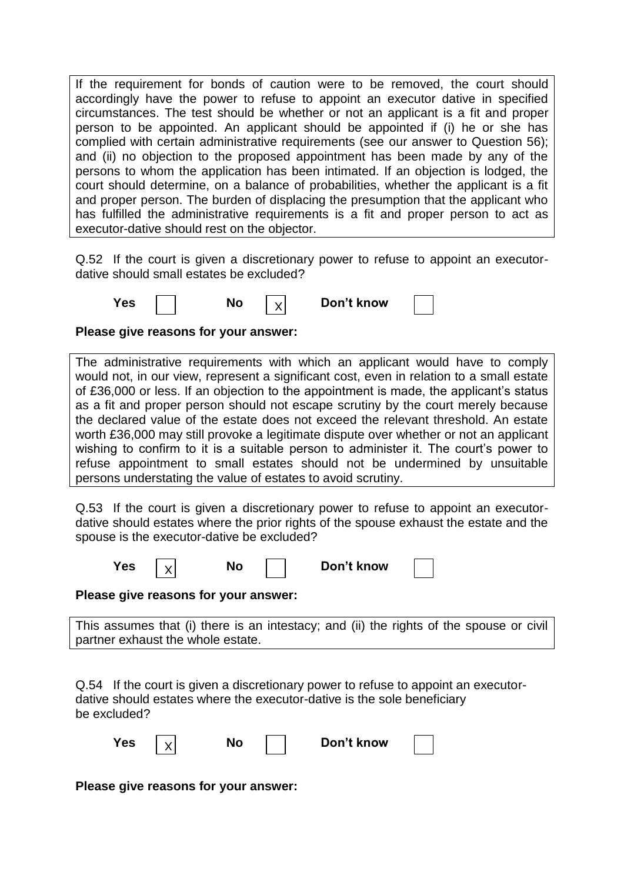If the requirement for bonds of caution were to be removed, the court should accordingly have the power to refuse to appoint an executor dative in specified circumstances. The test should be whether or not an applicant is a fit and proper person to be appointed. An applicant should be appointed if (i) he or she has complied with certain administrative requirements (see our answer to Question 56); and (ii) no objection to the proposed appointment has been made by any of the persons to whom the application has been intimated. If an objection is lodged, the court should determine, on a balance of probabilities, whether the applicant is a fit and proper person. The burden of displacing the presumption that the applicant who has fulfilled the administrative requirements is a fit and proper person to act as executor-dative should rest on the objector.

Q.52 If the court is given a discretionary power to refuse to appoint an executordative should small estates be excluded?

| No<br>Yes |  | Don't know |  |
|-----------|--|------------|--|
|-----------|--|------------|--|

**Please give reasons for your answer:**

The administrative requirements with which an applicant would have to comply would not, in our view, represent a significant cost, even in relation to a small estate of £36,000 or less. If an objection to the appointment is made, the applicant"s status as a fit and proper person should not escape scrutiny by the court merely because the declared value of the estate does not exceed the relevant threshold. An estate worth £36,000 may still provoke a legitimate dispute over whether or not an applicant wishing to confirm to it is a suitable person to administer it. The court's power to refuse appointment to small estates should not be undermined by unsuitable persons understating the value of estates to avoid scrutiny.

Q.53 If the court is given a discretionary power to refuse to appoint an executordative should estates where the prior rights of the spouse exhaust the estate and the spouse is the executor-dative be excluded?

| Yes |  | NO | Don't know |  |
|-----|--|----|------------|--|
|-----|--|----|------------|--|

**Please give reasons for your answer:**

This assumes that (i) there is an intestacy; and (ii) the rights of the spouse or civil partner exhaust the whole estate.

Q.54 If the court is given a discretionary power to refuse to appoint an executordative should estates where the executor-dative is the sole beneficiary be excluded?

| <b>Yes</b> | No. | Don't know |  |
|------------|-----|------------|--|
|            |     |            |  |

**Please give reasons for your answer:**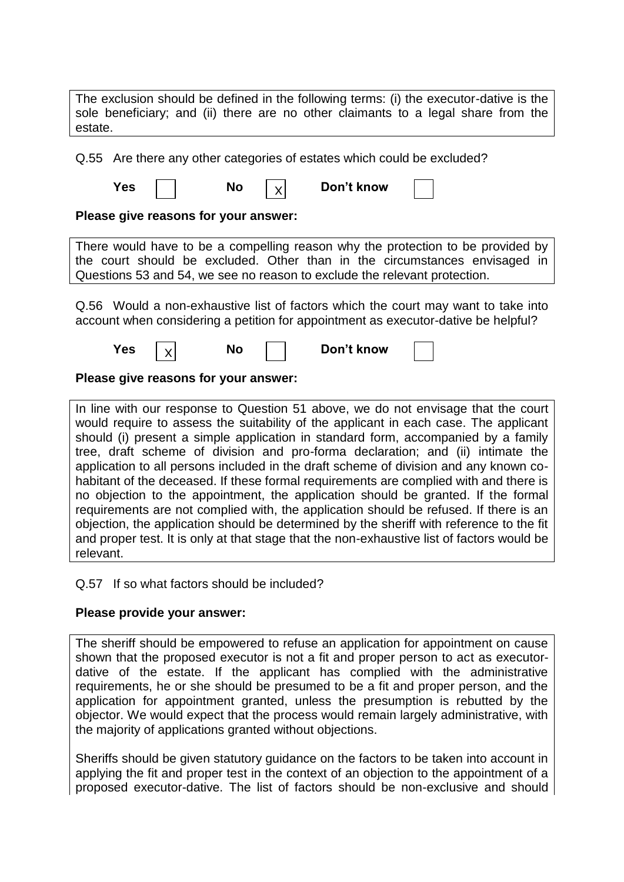| The exclusion should be defined in the following terms: (i) the executor-dative is the<br>sole beneficiary; and (ii) there are no other claimants to a legal share from the<br>estate.                                                     |  |  |  |  |  |
|--------------------------------------------------------------------------------------------------------------------------------------------------------------------------------------------------------------------------------------------|--|--|--|--|--|
| Q.55 Are there any other categories of estates which could be excluded?                                                                                                                                                                    |  |  |  |  |  |
| Don't know<br>Yes<br><b>No</b><br>X                                                                                                                                                                                                        |  |  |  |  |  |
| Please give reasons for your answer:                                                                                                                                                                                                       |  |  |  |  |  |
| There would have to be a compelling reason why the protection to be provided by<br>the court should be excluded. Other than in the circumstances envisaged in<br>Questions 53 and 54, we see no reason to exclude the relevant protection. |  |  |  |  |  |
| Q.56 Would a non-exhaustive list of factors which the court may want to take into<br>account when considering a petition for appointment as executor-dative be helpful?                                                                    |  |  |  |  |  |
| Don't know<br><b>No</b><br>Yes                                                                                                                                                                                                             |  |  |  |  |  |
| Please give reasons for your answer:                                                                                                                                                                                                       |  |  |  |  |  |

In line with our response to Question 51 above, we do not envisage that the court would require to assess the suitability of the applicant in each case. The applicant should (i) present a simple application in standard form, accompanied by a family tree, draft scheme of division and pro-forma declaration; and (ii) intimate the application to all persons included in the draft scheme of division and any known cohabitant of the deceased. If these formal requirements are complied with and there is no objection to the appointment, the application should be granted. If the formal requirements are not complied with, the application should be refused. If there is an objection, the application should be determined by the sheriff with reference to the fit and proper test. It is only at that stage that the non-exhaustive list of factors would be relevant.

# Q.57 If so what factors should be included?

### **Please provide your answer:**

The sheriff should be empowered to refuse an application for appointment on cause shown that the proposed executor is not a fit and proper person to act as executordative of the estate. If the applicant has complied with the administrative requirements, he or she should be presumed to be a fit and proper person, and the application for appointment granted, unless the presumption is rebutted by the objector. We would expect that the process would remain largely administrative, with the majority of applications granted without objections.

Sheriffs should be given statutory guidance on the factors to be taken into account in applying the fit and proper test in the context of an objection to the appointment of a proposed executor-dative. The list of factors should be non-exclusive and should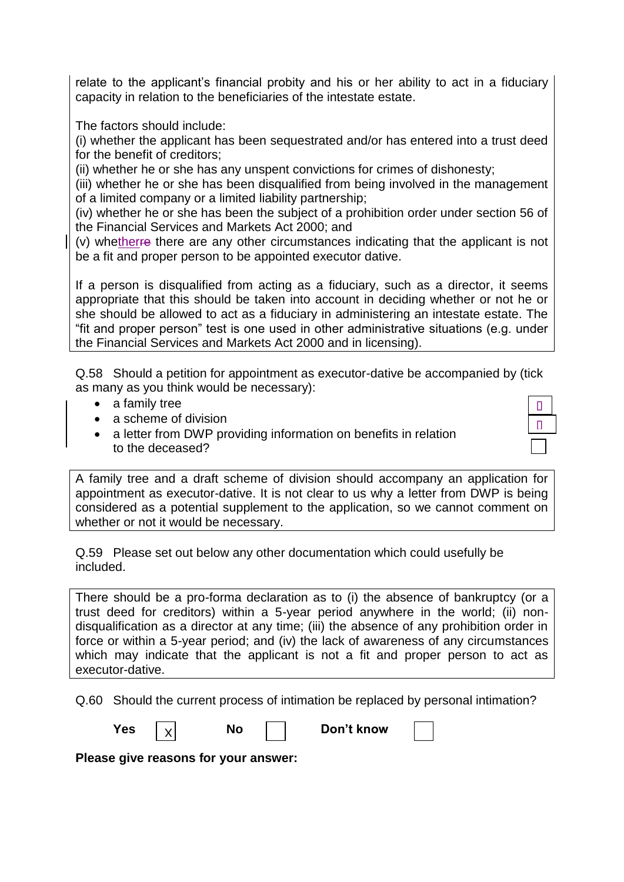relate to the applicant's financial probity and his or her ability to act in a fiduciary capacity in relation to the beneficiaries of the intestate estate.

The factors should include:

(i) whether the applicant has been sequestrated and/or has entered into a trust deed for the benefit of creditors;

(ii) whether he or she has any unspent convictions for crimes of dishonesty;

(iii) whether he or she has been disqualified from being involved in the management of a limited company or a limited liability partnership;

(iv) whether he or she has been the subject of a prohibition order under section 56 of the Financial Services and Markets Act 2000; and

(v) whetherre there are any other circumstances indicating that the applicant is not be a fit and proper person to be appointed executor dative.

If a person is disqualified from acting as a fiduciary, such as a director, it seems appropriate that this should be taken into account in deciding whether or not he or she should be allowed to act as a fiduciary in administering an intestate estate. The "fit and proper person" test is one used in other administrative situations (e.g. under the Financial Services and Markets Act 2000 and in licensing).

Q.58 Should a petition for appointment as executor-dative be accompanied by (tick as many as you think would be necessary):

- a family tree
- a scheme of division
- a letter from DWP providing information on benefits in relation to the deceased?



A family tree and a draft scheme of division should accompany an application for appointment as executor-dative. It is not clear to us why a letter from DWP is being considered as a potential supplement to the application, so we cannot comment on whether or not it would be necessary.

Q.59 Please set out below any other documentation which could usefully be included.

There should be a pro-forma declaration as to (i) the absence of bankruptcy (or a trust deed for creditors) within a 5-year period anywhere in the world; (ii) nondisqualification as a director at any time; (iii) the absence of any prohibition order in force or within a 5-year period; and (iv) the lack of awareness of any circumstances which may indicate that the applicant is not a fit and proper person to act as executor-dative.

Q.60 Should the current process of intimation be replaced by personal intimation?

**Yes**  $|v|$  **No**  $|v|$  **Don't know** 

**Please give reasons for your answer:**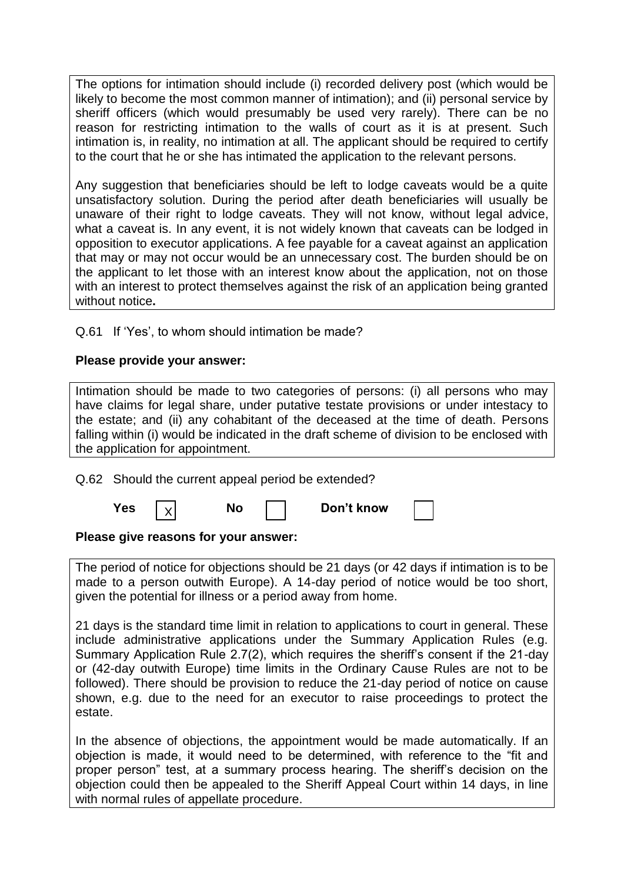The options for intimation should include (i) recorded delivery post (which would be likely to become the most common manner of intimation); and (ii) personal service by sheriff officers (which would presumably be used very rarely). There can be no reason for restricting intimation to the walls of court as it is at present. Such intimation is, in reality, no intimation at all. The applicant should be required to certify to the court that he or she has intimated the application to the relevant persons.

Any suggestion that beneficiaries should be left to lodge caveats would be a quite unsatisfactory solution. During the period after death beneficiaries will usually be unaware of their right to lodge caveats. They will not know, without legal advice, what a caveat is. In any event, it is not widely known that caveats can be lodged in opposition to executor applications. A fee payable for a caveat against an application that may or may not occur would be an unnecessary cost. The burden should be on the applicant to let those with an interest know about the application, not on those with an interest to protect themselves against the risk of an application being granted without notice**.**

Q.61 If 'Yes', to whom should intimation be made?

# **Please provide your answer:**

| Intimation should be made to two categories of persons: (i) all persons who may           |
|-------------------------------------------------------------------------------------------|
| have claims for legal share, under putative testate provisions or under intestacy to      |
| the estate; and (ii) any cohabitant of the deceased at the time of death. Persons         |
| falling within (i) would be indicated in the draft scheme of division to be enclosed with |
| the application for appointment.                                                          |

Q.62 Should the current appeal period be extended?

X

| Yes |  | No |  | Don't know |
|-----|--|----|--|------------|
|-----|--|----|--|------------|

# **Please give reasons for your answer:**

The period of notice for objections should be 21 days (or 42 days if intimation is to be made to a person outwith Europe). A 14-day period of notice would be too short, given the potential for illness or a period away from home.

21 days is the standard time limit in relation to applications to court in general. These include administrative applications under the Summary Application Rules (e.g. Summary Application Rule 2.7(2), which requires the sheriff's consent if the 21-day or (42-day outwith Europe) time limits in the Ordinary Cause Rules are not to be followed). There should be provision to reduce the 21-day period of notice on cause shown, e.g. due to the need for an executor to raise proceedings to protect the estate.

In the absence of objections, the appointment would be made automatically. If an objection is made, it would need to be determined, with reference to the "fit and proper person" test, at a summary process hearing. The sheriff"s decision on the objection could then be appealed to the Sheriff Appeal Court within 14 days, in line with normal rules of appellate procedure.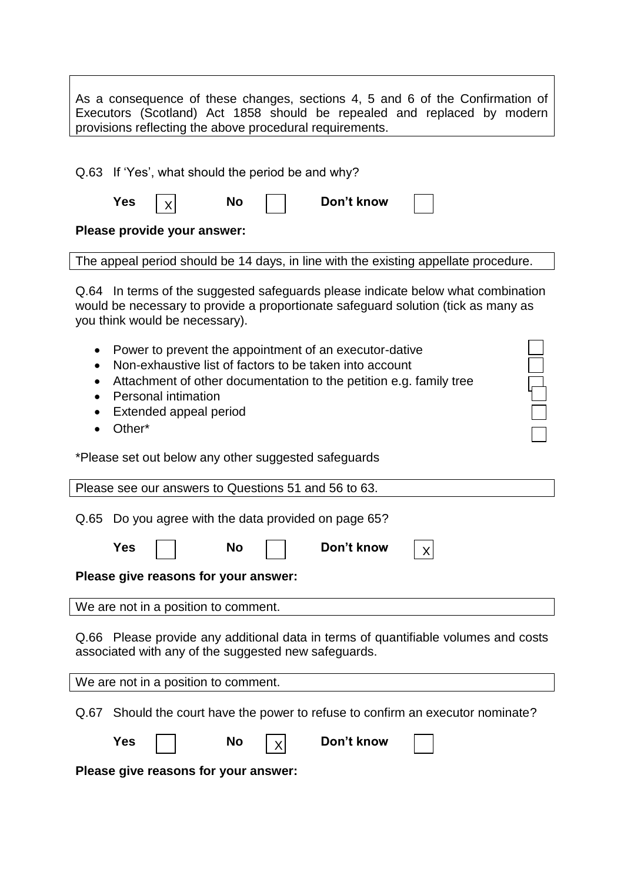| As a consequence of these changes, sections 4, 5 and 6 of the Confirmation of |
|-------------------------------------------------------------------------------|
| Executors (Scotland) Act 1858 should be repealed and replaced by modern       |
| provisions reflecting the above procedural requirements.                      |

Q.63 If 'Yes', what should the period be and why? Yes  $\nabla$  No Don't know **Please provide your answer:** The appeal period should be 14 days, in line with the existing appellate procedure. Q.64 In terms of the suggested safeguards please indicate below what combination would be necessary to provide a proportionate safeguard solution (tick as many as you think would be necessary). • Power to prevent the appointment of an executor-dative Non-exhaustive list of factors to be taken into account Attachment of other documentation to the petition e.g. family tree • Personal intimation Extended appeal period • Other\* \*Please set out below any other suggested safeguards Please see our answers to Questions 51 and 56 to 63. Q.65 Do you agree with the data provided on page 65? X

| <b>Yes</b>                                                                                                                                                                                                                    | <b>No</b> | Don't know | $\mathbf{v}$ |
|-------------------------------------------------------------------------------------------------------------------------------------------------------------------------------------------------------------------------------|-----------|------------|--------------|
| Police and the communications of the communication of the communication of the communication of the communication of the communication of the communication of the communication of the communication of the communication of | .         |            |              |

**Please give reasons for your answer:**

We are not in a position to comment.

Q.66 Please provide any additional data in terms of quantifiable volumes and costs associated with any of the suggested new safeguards.

We are not in a position to comment.

Q.67 Should the court have the power to refuse to confirm an executor nominate?

| <b>Yes</b>                           | <b>No</b><br>$\mathsf{X}$ | Don't know |  |
|--------------------------------------|---------------------------|------------|--|
| Please give reasons for your answer: |                           |            |  |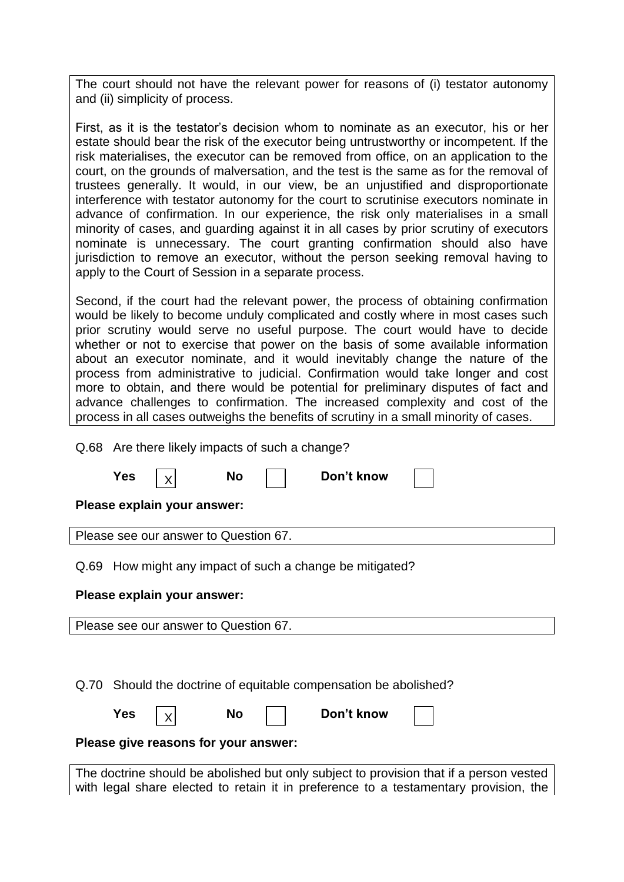The court should not have the relevant power for reasons of (i) testator autonomy and (ii) simplicity of process.

First, as it is the testator's decision whom to nominate as an executor, his or her estate should bear the risk of the executor being untrustworthy or incompetent. If the risk materialises, the executor can be removed from office, on an application to the court, on the grounds of malversation, and the test is the same as for the removal of trustees generally. It would, in our view, be an unjustified and disproportionate interference with testator autonomy for the court to scrutinise executors nominate in advance of confirmation. In our experience, the risk only materialises in a small minority of cases, and guarding against it in all cases by prior scrutiny of executors nominate is unnecessary. The court granting confirmation should also have jurisdiction to remove an executor, without the person seeking removal having to apply to the Court of Session in a separate process.

Second, if the court had the relevant power, the process of obtaining confirmation would be likely to become unduly complicated and costly where in most cases such prior scrutiny would serve no useful purpose. The court would have to decide whether or not to exercise that power on the basis of some available information about an executor nominate, and it would inevitably change the nature of the process from administrative to judicial. Confirmation would take longer and cost more to obtain, and there would be potential for preliminary disputes of fact and advance challenges to confirmation. The increased complexity and cost of the process in all cases outweighs the benefits of scrutiny in a small minority of cases.

Q.68 Are there likely impacts of such a change?

|      | Yes        |                                       | <b>No</b> | Don't know                                                  |  |
|------|------------|---------------------------------------|-----------|-------------------------------------------------------------|--|
|      |            | Please explain your answer:           |           |                                                             |  |
|      |            | Please see our answer to Question 67. |           |                                                             |  |
| Q.69 |            |                                       |           | How might any impact of such a change be mitigated?         |  |
|      |            | Please explain your answer:           |           |                                                             |  |
|      |            | Please see our answer to Question 67. |           |                                                             |  |
|      |            |                                       |           |                                                             |  |
| Q.70 |            |                                       |           | Should the doctrine of equitable compensation be abolished? |  |
|      | <b>Yes</b> | x                                     | No        | Don't know                                                  |  |
|      |            | Please give reasons for your answer:  |           |                                                             |  |

The doctrine should be abolished but only subject to provision that if a person vested with legal share elected to retain it in preference to a testamentary provision, the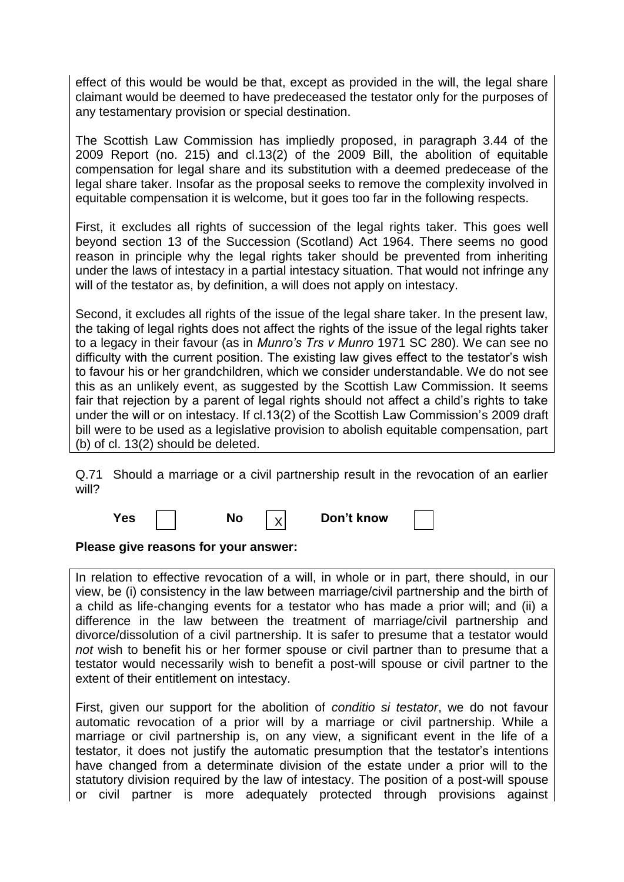effect of this would be would be that, except as provided in the will, the legal share claimant would be deemed to have predeceased the testator only for the purposes of any testamentary provision or special destination.

The Scottish Law Commission has impliedly proposed, in paragraph 3.44 of the 2009 Report (no. 215) and cl.13(2) of the 2009 Bill, the abolition of equitable compensation for legal share and its substitution with a deemed predecease of the legal share taker. Insofar as the proposal seeks to remove the complexity involved in equitable compensation it is welcome, but it goes too far in the following respects.

First, it excludes all rights of succession of the legal rights taker. This goes well beyond section 13 of the Succession (Scotland) Act 1964. There seems no good reason in principle why the legal rights taker should be prevented from inheriting under the laws of intestacy in a partial intestacy situation. That would not infringe any will of the testator as, by definition, a will does not apply on intestacy.

Second, it excludes all rights of the issue of the legal share taker. In the present law, the taking of legal rights does not affect the rights of the issue of the legal rights taker to a legacy in their favour (as in *Munro's Trs v Munro* 1971 SC 280). We can see no difficulty with the current position. The existing law gives effect to the testator"s wish to favour his or her grandchildren, which we consider understandable. We do not see this as an unlikely event, as suggested by the Scottish Law Commission. It seems fair that rejection by a parent of legal rights should not affect a child's rights to take under the will or on intestacy. If cl.13(2) of the Scottish Law Commission's 2009 draft bill were to be used as a legislative provision to abolish equitable compensation, part (b) of cl. 13(2) should be deleted.

Q.71 Should a marriage or a civil partnership result in the revocation of an earlier will?

X

| <b>Yes</b> |  |  |  |
|------------|--|--|--|
|------------|--|--|--|

**Yo** I  $\vee$  Don't know

**Please give reasons for your answer:**

In relation to effective revocation of a will, in whole or in part, there should, in our view, be (i) consistency in the law between marriage/civil partnership and the birth of a child as life-changing events for a testator who has made a prior will; and (ii) a difference in the law between the treatment of marriage/civil partnership and divorce/dissolution of a civil partnership. It is safer to presume that a testator would *not* wish to benefit his or her former spouse or civil partner than to presume that a testator would necessarily wish to benefit a post-will spouse or civil partner to the extent of their entitlement on intestacy.

First, given our support for the abolition of *conditio si testator*, we do not favour automatic revocation of a prior will by a marriage or civil partnership. While a marriage or civil partnership is, on any view, a significant event in the life of a testator, it does not justify the automatic presumption that the testator's intentions have changed from a determinate division of the estate under a prior will to the statutory division required by the law of intestacy. The position of a post-will spouse or civil partner is more adequately protected through provisions against